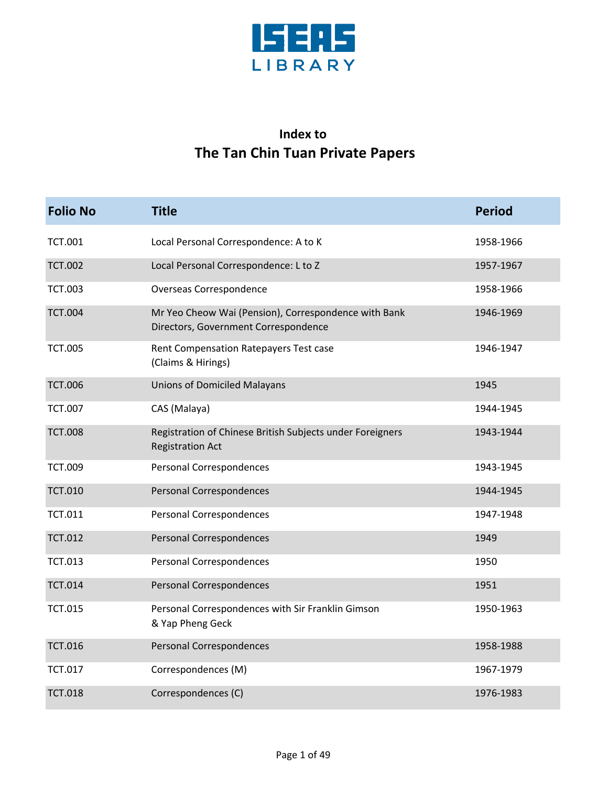

## **Index to The Tan Chin Tuan Private Papers**

| <b>Folio No</b> | <b>Title</b>                                                                                 | <b>Period</b> |
|-----------------|----------------------------------------------------------------------------------------------|---------------|
| <b>TCT.001</b>  | Local Personal Correspondence: A to K                                                        | 1958-1966     |
| <b>TCT.002</b>  | Local Personal Correspondence: L to Z                                                        | 1957-1967     |
| <b>TCT.003</b>  | Overseas Correspondence                                                                      | 1958-1966     |
| <b>TCT.004</b>  | Mr Yeo Cheow Wai (Pension), Correspondence with Bank<br>Directors, Government Correspondence | 1946-1969     |
| <b>TCT.005</b>  | Rent Compensation Ratepayers Test case<br>(Claims & Hirings)                                 | 1946-1947     |
| <b>TCT.006</b>  | <b>Unions of Domiciled Malayans</b>                                                          | 1945          |
| <b>TCT.007</b>  | CAS (Malaya)                                                                                 | 1944-1945     |
| <b>TCT.008</b>  | Registration of Chinese British Subjects under Foreigners<br><b>Registration Act</b>         | 1943-1944     |
| <b>TCT.009</b>  | <b>Personal Correspondences</b>                                                              | 1943-1945     |
| <b>TCT.010</b>  | <b>Personal Correspondences</b>                                                              | 1944-1945     |
| <b>TCT.011</b>  | Personal Correspondences                                                                     | 1947-1948     |
| <b>TCT.012</b>  | Personal Correspondences                                                                     | 1949          |
| <b>TCT.013</b>  | Personal Correspondences                                                                     | 1950          |
| <b>TCT.014</b>  | Personal Correspondences                                                                     | 1951          |
| <b>TCT.015</b>  | Personal Correspondences with Sir Franklin Gimson<br>& Yap Pheng Geck                        | 1950-1963     |
| <b>TCT.016</b>  | <b>Personal Correspondences</b>                                                              | 1958-1988     |
| <b>TCT.017</b>  | Correspondences (M)                                                                          | 1967-1979     |
| <b>TCT.018</b>  | Correspondences (C)                                                                          | 1976-1983     |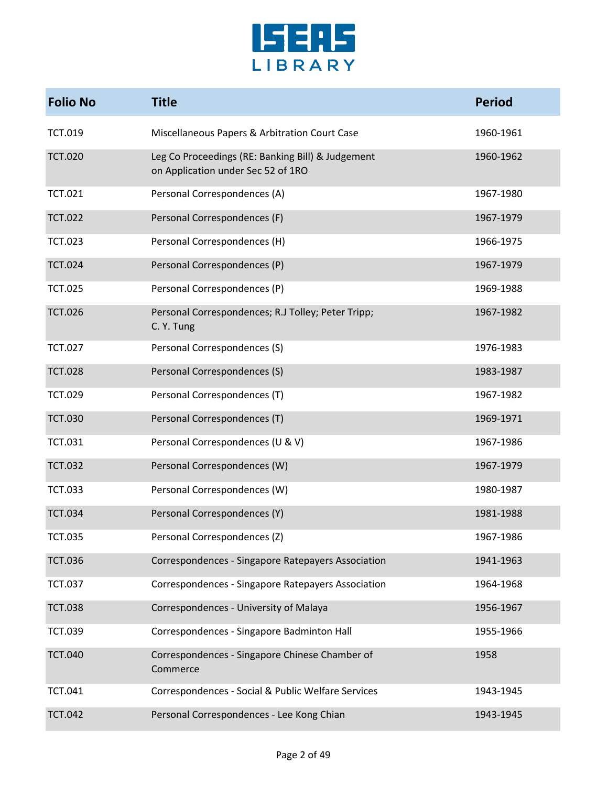

| <b>Folio No</b> | <b>Title</b>                                                                            | <b>Period</b> |
|-----------------|-----------------------------------------------------------------------------------------|---------------|
| <b>TCT.019</b>  | Miscellaneous Papers & Arbitration Court Case                                           | 1960-1961     |
| <b>TCT.020</b>  | Leg Co Proceedings (RE: Banking Bill) & Judgement<br>on Application under Sec 52 of 1RO | 1960-1962     |
| <b>TCT.021</b>  | Personal Correspondences (A)                                                            | 1967-1980     |
| <b>TCT.022</b>  | Personal Correspondences (F)                                                            | 1967-1979     |
| <b>TCT.023</b>  | Personal Correspondences (H)                                                            | 1966-1975     |
| <b>TCT.024</b>  | Personal Correspondences (P)                                                            | 1967-1979     |
| <b>TCT.025</b>  | Personal Correspondences (P)                                                            | 1969-1988     |
| <b>TCT.026</b>  | Personal Correspondences; R.J Tolley; Peter Tripp;<br>C. Y. Tung                        | 1967-1982     |
| <b>TCT.027</b>  | Personal Correspondences (S)                                                            | 1976-1983     |
| <b>TCT.028</b>  | Personal Correspondences (S)                                                            | 1983-1987     |
| <b>TCT.029</b>  | Personal Correspondences (T)                                                            | 1967-1982     |
| <b>TCT.030</b>  | Personal Correspondences (T)                                                            | 1969-1971     |
| <b>TCT.031</b>  | Personal Correspondences (U & V)                                                        | 1967-1986     |
| <b>TCT.032</b>  | Personal Correspondences (W)                                                            | 1967-1979     |
| <b>TCT.033</b>  | Personal Correspondences (W)                                                            | 1980-1987     |
| <b>TCT.034</b>  | Personal Correspondences (Y)                                                            | 1981-1988     |
| <b>TCT.035</b>  | Personal Correspondences (Z)                                                            | 1967-1986     |
| <b>TCT.036</b>  | Correspondences - Singapore Ratepayers Association                                      | 1941-1963     |
| <b>TCT.037</b>  | Correspondences - Singapore Ratepayers Association                                      | 1964-1968     |
| <b>TCT.038</b>  | Correspondences - University of Malaya                                                  | 1956-1967     |
| <b>TCT.039</b>  | Correspondences - Singapore Badminton Hall                                              | 1955-1966     |
| <b>TCT.040</b>  | Correspondences - Singapore Chinese Chamber of<br>Commerce                              | 1958          |
| <b>TCT.041</b>  | Correspondences - Social & Public Welfare Services                                      | 1943-1945     |
| <b>TCT.042</b>  | Personal Correspondences - Lee Kong Chian                                               | 1943-1945     |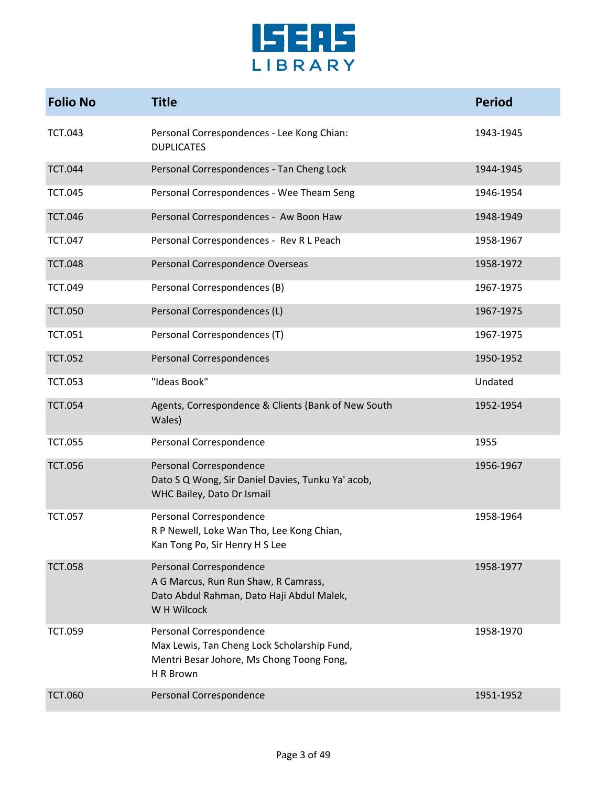

| <b>Folio No</b> | <b>Title</b>                                                                                                                     | <b>Period</b> |
|-----------------|----------------------------------------------------------------------------------------------------------------------------------|---------------|
| <b>TCT.043</b>  | Personal Correspondences - Lee Kong Chian:<br><b>DUPLICATES</b>                                                                  | 1943-1945     |
| <b>TCT.044</b>  | Personal Correspondences - Tan Cheng Lock                                                                                        | 1944-1945     |
| <b>TCT.045</b>  | Personal Correspondences - Wee Theam Seng                                                                                        | 1946-1954     |
| <b>TCT.046</b>  | Personal Correspondences - Aw Boon Haw                                                                                           | 1948-1949     |
| <b>TCT.047</b>  | Personal Correspondences - Rev R L Peach                                                                                         | 1958-1967     |
| <b>TCT.048</b>  | Personal Correspondence Overseas                                                                                                 | 1958-1972     |
| <b>TCT.049</b>  | Personal Correspondences (B)                                                                                                     | 1967-1975     |
| <b>TCT.050</b>  | Personal Correspondences (L)                                                                                                     | 1967-1975     |
| <b>TCT.051</b>  | Personal Correspondences (T)                                                                                                     | 1967-1975     |
| <b>TCT.052</b>  | <b>Personal Correspondences</b>                                                                                                  | 1950-1952     |
| <b>TCT.053</b>  | "Ideas Book"                                                                                                                     | Undated       |
| <b>TCT.054</b>  | Agents, Correspondence & Clients (Bank of New South<br>Wales)                                                                    | 1952-1954     |
| <b>TCT.055</b>  | Personal Correspondence                                                                                                          | 1955          |
| <b>TCT.056</b>  | Personal Correspondence<br>Dato S Q Wong, Sir Daniel Davies, Tunku Ya' acob,<br>WHC Bailey, Dato Dr Ismail                       | 1956-1967     |
| <b>TCT.057</b>  | Personal Correspondence<br>R P Newell, Loke Wan Tho, Lee Kong Chian,<br>Kan Tong Po, Sir Henry H S Lee                           | 1958-1964     |
| <b>TCT.058</b>  | Personal Correspondence<br>A G Marcus, Run Run Shaw, R Camrass,<br>Dato Abdul Rahman, Dato Haji Abdul Malek,<br>W H Wilcock      | 1958-1977     |
| <b>TCT.059</b>  | Personal Correspondence<br>Max Lewis, Tan Cheng Lock Scholarship Fund,<br>Mentri Besar Johore, Ms Chong Toong Fong,<br>H R Brown | 1958-1970     |
| <b>TCT.060</b>  | Personal Correspondence                                                                                                          | 1951-1952     |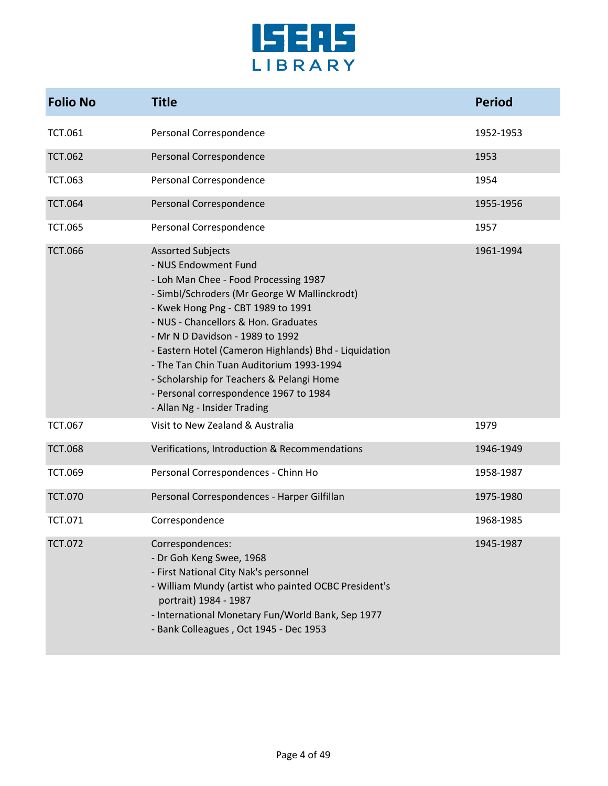

| <b>Folio No</b> | <b>Title</b>                                                                                                                                                                                                                                                                                                                                                                                                                                                                            | <b>Period</b> |
|-----------------|-----------------------------------------------------------------------------------------------------------------------------------------------------------------------------------------------------------------------------------------------------------------------------------------------------------------------------------------------------------------------------------------------------------------------------------------------------------------------------------------|---------------|
| <b>TCT.061</b>  | Personal Correspondence                                                                                                                                                                                                                                                                                                                                                                                                                                                                 | 1952-1953     |
| <b>TCT.062</b>  | Personal Correspondence                                                                                                                                                                                                                                                                                                                                                                                                                                                                 | 1953          |
| <b>TCT.063</b>  | Personal Correspondence                                                                                                                                                                                                                                                                                                                                                                                                                                                                 | 1954          |
| <b>TCT.064</b>  | Personal Correspondence                                                                                                                                                                                                                                                                                                                                                                                                                                                                 | 1955-1956     |
| <b>TCT.065</b>  | Personal Correspondence                                                                                                                                                                                                                                                                                                                                                                                                                                                                 | 1957          |
| <b>TCT.066</b>  | <b>Assorted Subjects</b><br>- NUS Endowment Fund<br>- Loh Man Chee - Food Processing 1987<br>- Simbl/Schroders (Mr George W Mallinckrodt)<br>- Kwek Hong Png - CBT 1989 to 1991<br>- NUS - Chancellors & Hon. Graduates<br>- Mr N D Davidson - 1989 to 1992<br>- Eastern Hotel (Cameron Highlands) Bhd - Liquidation<br>- The Tan Chin Tuan Auditorium 1993-1994<br>- Scholarship for Teachers & Pelangi Home<br>- Personal correspondence 1967 to 1984<br>- Allan Ng - Insider Trading | 1961-1994     |
| <b>TCT.067</b>  | Visit to New Zealand & Australia                                                                                                                                                                                                                                                                                                                                                                                                                                                        | 1979          |
| <b>TCT.068</b>  | Verifications, Introduction & Recommendations                                                                                                                                                                                                                                                                                                                                                                                                                                           | 1946-1949     |
| <b>TCT.069</b>  | Personal Correspondences - Chinn Ho                                                                                                                                                                                                                                                                                                                                                                                                                                                     | 1958-1987     |
| <b>TCT.070</b>  | Personal Correspondences - Harper Gilfillan                                                                                                                                                                                                                                                                                                                                                                                                                                             | 1975-1980     |
| <b>TCT.071</b>  | Correspondence                                                                                                                                                                                                                                                                                                                                                                                                                                                                          | 1968-1985     |
| <b>TCT.072</b>  | Correspondences:<br>- Dr Goh Keng Swee, 1968<br>- First National City Nak's personnel<br>- William Mundy (artist who painted OCBC President's<br>portrait) 1984 - 1987<br>- International Monetary Fun/World Bank, Sep 1977<br>- Bank Colleagues, Oct 1945 - Dec 1953                                                                                                                                                                                                                   | 1945-1987     |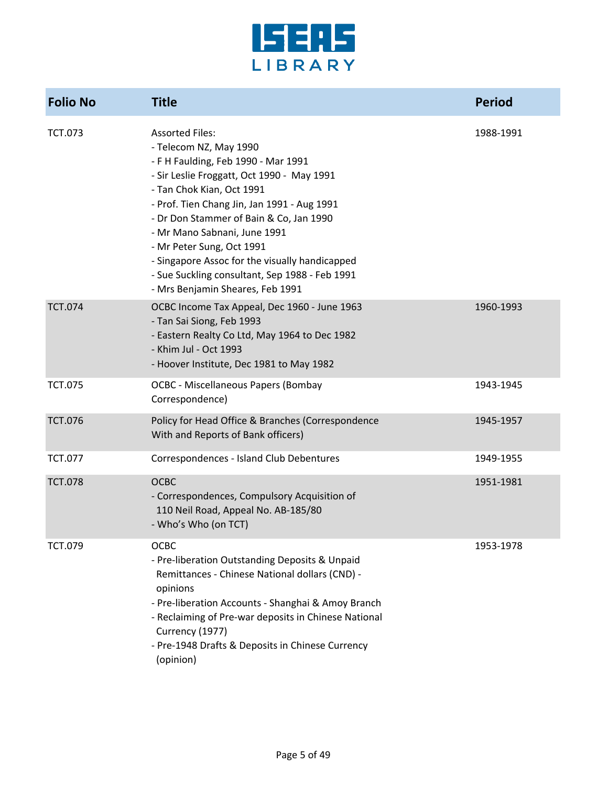

| <b>Folio No</b> | <b>Title</b>                                                                                                                                                                                                                                                                                                                                                                                                                                                      | <b>Period</b> |
|-----------------|-------------------------------------------------------------------------------------------------------------------------------------------------------------------------------------------------------------------------------------------------------------------------------------------------------------------------------------------------------------------------------------------------------------------------------------------------------------------|---------------|
| <b>TCT.073</b>  | <b>Assorted Files:</b><br>- Telecom NZ, May 1990<br>- F H Faulding, Feb 1990 - Mar 1991<br>- Sir Leslie Froggatt, Oct 1990 - May 1991<br>- Tan Chok Kian, Oct 1991<br>- Prof. Tien Chang Jin, Jan 1991 - Aug 1991<br>- Dr Don Stammer of Bain & Co, Jan 1990<br>- Mr Mano Sabnani, June 1991<br>- Mr Peter Sung, Oct 1991<br>- Singapore Assoc for the visually handicapped<br>- Sue Suckling consultant, Sep 1988 - Feb 1991<br>- Mrs Benjamin Sheares, Feb 1991 | 1988-1991     |
| <b>TCT.074</b>  | OCBC Income Tax Appeal, Dec 1960 - June 1963<br>- Tan Sai Siong, Feb 1993<br>- Eastern Realty Co Ltd, May 1964 to Dec 1982<br>- Khim Jul - Oct 1993<br>- Hoover Institute, Dec 1981 to May 1982                                                                                                                                                                                                                                                                   | 1960-1993     |
| <b>TCT.075</b>  | <b>OCBC - Miscellaneous Papers (Bombay</b><br>Correspondence)                                                                                                                                                                                                                                                                                                                                                                                                     | 1943-1945     |
| <b>TCT.076</b>  | Policy for Head Office & Branches (Correspondence<br>With and Reports of Bank officers)                                                                                                                                                                                                                                                                                                                                                                           | 1945-1957     |
| <b>TCT.077</b>  | Correspondences - Island Club Debentures                                                                                                                                                                                                                                                                                                                                                                                                                          | 1949-1955     |
| <b>TCT.078</b>  | <b>OCBC</b><br>- Correspondences, Compulsory Acquisition of<br>110 Neil Road, Appeal No. AB-185/80<br>- Who's Who (on TCT)                                                                                                                                                                                                                                                                                                                                        | 1951-1981     |
| TCT.079         | OCBC<br>- Pre-liberation Outstanding Deposits & Unpaid<br>Remittances - Chinese National dollars (CND) -<br>opinions<br>- Pre-liberation Accounts - Shanghai & Amoy Branch<br>- Reclaiming of Pre-war deposits in Chinese National<br>Currency (1977)<br>- Pre-1948 Drafts & Deposits in Chinese Currency<br>(opinion)                                                                                                                                            | 1953-1978     |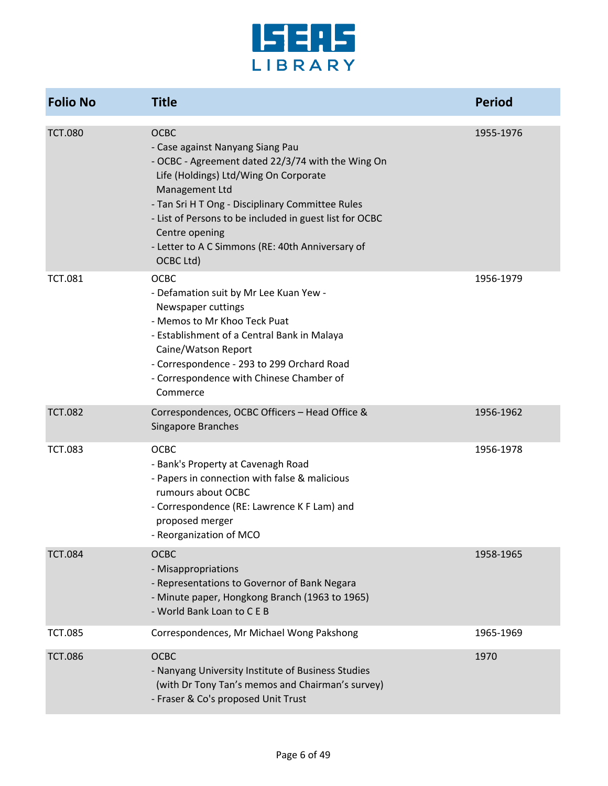

| <b>Folio No</b> | <b>Title</b>                                                                                                                                                                                                                                                                                                                                                      | <b>Period</b> |
|-----------------|-------------------------------------------------------------------------------------------------------------------------------------------------------------------------------------------------------------------------------------------------------------------------------------------------------------------------------------------------------------------|---------------|
| <b>TCT.080</b>  | <b>OCBC</b><br>- Case against Nanyang Siang Pau<br>- OCBC - Agreement dated 22/3/74 with the Wing On<br>Life (Holdings) Ltd/Wing On Corporate<br>Management Ltd<br>- Tan Sri H T Ong - Disciplinary Committee Rules<br>- List of Persons to be included in guest list for OCBC<br>Centre opening<br>- Letter to A C Simmons (RE: 40th Anniversary of<br>OCBC Ltd) | 1955-1976     |
| <b>TCT.081</b>  | <b>OCBC</b><br>- Defamation suit by Mr Lee Kuan Yew -<br>Newspaper cuttings<br>- Memos to Mr Khoo Teck Puat<br>- Establishment of a Central Bank in Malaya<br>Caine/Watson Report<br>- Correspondence - 293 to 299 Orchard Road<br>- Correspondence with Chinese Chamber of<br>Commerce                                                                           | 1956-1979     |
| <b>TCT.082</b>  | Correspondences, OCBC Officers - Head Office &<br>Singapore Branches                                                                                                                                                                                                                                                                                              | 1956-1962     |
| <b>TCT.083</b>  | <b>OCBC</b><br>- Bank's Property at Cavenagh Road<br>- Papers in connection with false & malicious<br>rumours about OCBC<br>- Correspondence (RE: Lawrence K F Lam) and<br>proposed merger<br>Reorganization of MCO                                                                                                                                               | 1956-1978     |
| <b>TCT.084</b>  | <b>OCBC</b><br>- Misappropriations<br>- Representations to Governor of Bank Negara<br>- Minute paper, Hongkong Branch (1963 to 1965)<br>- World Bank Loan to C E B                                                                                                                                                                                                | 1958-1965     |
| <b>TCT.085</b>  | Correspondences, Mr Michael Wong Pakshong                                                                                                                                                                                                                                                                                                                         | 1965-1969     |
| <b>TCT.086</b>  | <b>OCBC</b><br>- Nanyang University Institute of Business Studies<br>(with Dr Tony Tan's memos and Chairman's survey)<br>- Fraser & Co's proposed Unit Trust                                                                                                                                                                                                      | 1970          |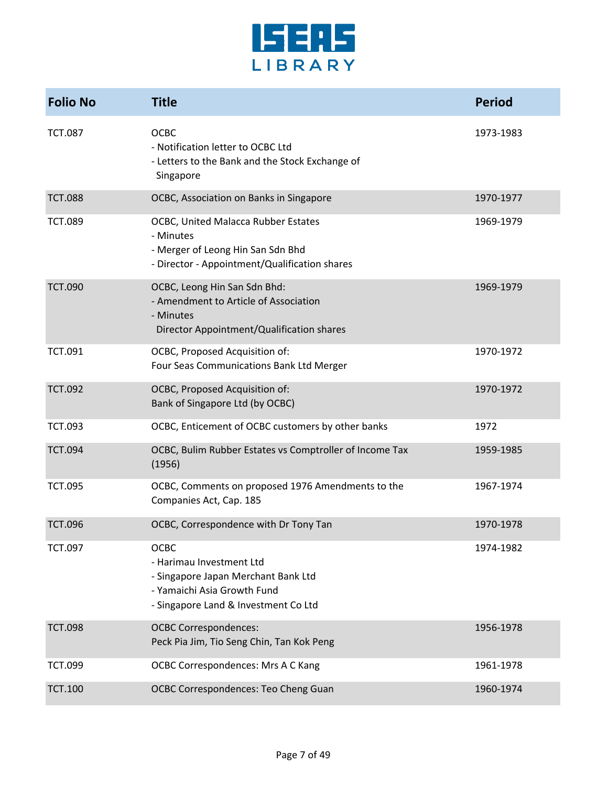

| <b>Folio No</b> | <b>Title</b>                                                                                                                                          | <b>Period</b> |
|-----------------|-------------------------------------------------------------------------------------------------------------------------------------------------------|---------------|
| <b>TCT.087</b>  | <b>OCBC</b><br>- Notification letter to OCBC Ltd<br>- Letters to the Bank and the Stock Exchange of<br>Singapore                                      | 1973-1983     |
| <b>TCT.088</b>  | OCBC, Association on Banks in Singapore                                                                                                               | 1970-1977     |
| <b>TCT.089</b>  | OCBC, United Malacca Rubber Estates<br>- Minutes<br>- Merger of Leong Hin San Sdn Bhd<br>- Director - Appointment/Qualification shares                | 1969-1979     |
| <b>TCT.090</b>  | OCBC, Leong Hin San Sdn Bhd:<br>- Amendment to Article of Association<br>- Minutes<br>Director Appointment/Qualification shares                       | 1969-1979     |
| <b>TCT.091</b>  | OCBC, Proposed Acquisition of:<br>Four Seas Communications Bank Ltd Merger                                                                            | 1970-1972     |
| <b>TCT.092</b>  | OCBC, Proposed Acquisition of:<br>Bank of Singapore Ltd (by OCBC)                                                                                     | 1970-1972     |
| <b>TCT.093</b>  | OCBC, Enticement of OCBC customers by other banks                                                                                                     | 1972          |
| <b>TCT.094</b>  | OCBC, Bulim Rubber Estates vs Comptroller of Income Tax<br>(1956)                                                                                     | 1959-1985     |
| <b>TCT.095</b>  | OCBC, Comments on proposed 1976 Amendments to the<br>Companies Act, Cap. 185                                                                          | 1967-1974     |
| <b>TCT.096</b>  | OCBC, Correspondence with Dr Tony Tan                                                                                                                 | 1970-1978     |
| <b>TCT.097</b>  | <b>OCBC</b><br>- Harimau Investment Ltd<br>- Singapore Japan Merchant Bank Ltd<br>- Yamaichi Asia Growth Fund<br>- Singapore Land & Investment Co Ltd | 1974-1982     |
| <b>TCT.098</b>  | <b>OCBC Correspondences:</b><br>Peck Pia Jim, Tio Seng Chin, Tan Kok Peng                                                                             | 1956-1978     |
| <b>TCT.099</b>  | OCBC Correspondences: Mrs A C Kang                                                                                                                    | 1961-1978     |
| <b>TCT.100</b>  | OCBC Correspondences: Teo Cheng Guan                                                                                                                  | 1960-1974     |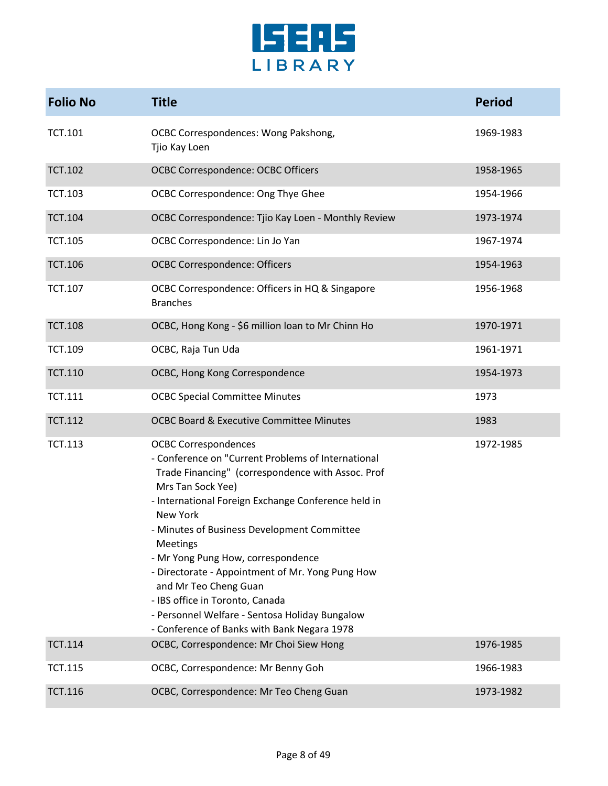

| <b>Folio No</b> | <b>Title</b>                                                                                                                                                                                                                                                                                                                                                                                                                                                                                                                                     | <b>Period</b> |
|-----------------|--------------------------------------------------------------------------------------------------------------------------------------------------------------------------------------------------------------------------------------------------------------------------------------------------------------------------------------------------------------------------------------------------------------------------------------------------------------------------------------------------------------------------------------------------|---------------|
| <b>TCT.101</b>  | <b>OCBC Correspondences: Wong Pakshong,</b><br>Tjio Kay Loen                                                                                                                                                                                                                                                                                                                                                                                                                                                                                     | 1969-1983     |
| <b>TCT.102</b>  | <b>OCBC Correspondence: OCBC Officers</b>                                                                                                                                                                                                                                                                                                                                                                                                                                                                                                        | 1958-1965     |
| <b>TCT.103</b>  | OCBC Correspondence: Ong Thye Ghee                                                                                                                                                                                                                                                                                                                                                                                                                                                                                                               | 1954-1966     |
| <b>TCT.104</b>  | OCBC Correspondence: Tjio Kay Loen - Monthly Review                                                                                                                                                                                                                                                                                                                                                                                                                                                                                              | 1973-1974     |
| <b>TCT.105</b>  | OCBC Correspondence: Lin Jo Yan                                                                                                                                                                                                                                                                                                                                                                                                                                                                                                                  | 1967-1974     |
| <b>TCT.106</b>  | <b>OCBC Correspondence: Officers</b>                                                                                                                                                                                                                                                                                                                                                                                                                                                                                                             | 1954-1963     |
| <b>TCT.107</b>  | OCBC Correspondence: Officers in HQ & Singapore<br><b>Branches</b>                                                                                                                                                                                                                                                                                                                                                                                                                                                                               | 1956-1968     |
| <b>TCT.108</b>  | OCBC, Hong Kong - \$6 million loan to Mr Chinn Ho                                                                                                                                                                                                                                                                                                                                                                                                                                                                                                | 1970-1971     |
| <b>TCT.109</b>  | OCBC, Raja Tun Uda                                                                                                                                                                                                                                                                                                                                                                                                                                                                                                                               | 1961-1971     |
| <b>TCT.110</b>  | OCBC, Hong Kong Correspondence                                                                                                                                                                                                                                                                                                                                                                                                                                                                                                                   | 1954-1973     |
| <b>TCT.111</b>  | <b>OCBC Special Committee Minutes</b>                                                                                                                                                                                                                                                                                                                                                                                                                                                                                                            | 1973          |
| <b>TCT.112</b>  | <b>OCBC Board &amp; Executive Committee Minutes</b>                                                                                                                                                                                                                                                                                                                                                                                                                                                                                              | 1983          |
| <b>TCT.113</b>  | <b>OCBC Correspondences</b><br>- Conference on "Current Problems of International<br>Trade Financing" (correspondence with Assoc. Prof<br>Mrs Tan Sock Yee)<br>- International Foreign Exchange Conference held in<br>New York<br>- Minutes of Business Development Committee<br>Meetings<br>- Mr Yong Pung How, correspondence<br>- Directorate - Appointment of Mr. Yong Pung How<br>and Mr Teo Cheng Guan<br>- IBS office in Toronto, Canada<br>- Personnel Welfare - Sentosa Holiday Bungalow<br>- Conference of Banks with Bank Negara 1978 | 1972-1985     |
| <b>TCT.114</b>  | OCBC, Correspondence: Mr Choi Siew Hong                                                                                                                                                                                                                                                                                                                                                                                                                                                                                                          | 1976-1985     |
| <b>TCT.115</b>  | OCBC, Correspondence: Mr Benny Goh                                                                                                                                                                                                                                                                                                                                                                                                                                                                                                               | 1966-1983     |
| <b>TCT.116</b>  | OCBC, Correspondence: Mr Teo Cheng Guan                                                                                                                                                                                                                                                                                                                                                                                                                                                                                                          | 1973-1982     |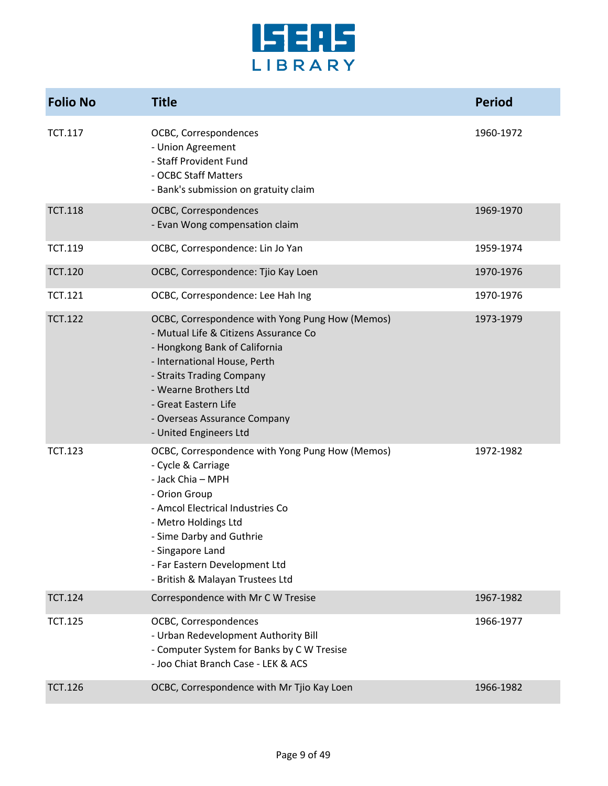

| <b>Folio No</b> | <b>Title</b>                                                                                                                                                                                                                                                                                      | <b>Period</b> |
|-----------------|---------------------------------------------------------------------------------------------------------------------------------------------------------------------------------------------------------------------------------------------------------------------------------------------------|---------------|
| <b>TCT.117</b>  | OCBC, Correspondences<br>- Union Agreement<br>- Staff Provident Fund<br>- OCBC Staff Matters<br>- Bank's submission on gratuity claim                                                                                                                                                             | 1960-1972     |
| <b>TCT.118</b>  | OCBC, Correspondences<br>- Evan Wong compensation claim                                                                                                                                                                                                                                           | 1969-1970     |
| <b>TCT.119</b>  | OCBC, Correspondence: Lin Jo Yan                                                                                                                                                                                                                                                                  | 1959-1974     |
| <b>TCT.120</b>  | OCBC, Correspondence: Tjio Kay Loen                                                                                                                                                                                                                                                               | 1970-1976     |
| <b>TCT.121</b>  | OCBC, Correspondence: Lee Hah Ing                                                                                                                                                                                                                                                                 | 1970-1976     |
| <b>TCT.122</b>  | OCBC, Correspondence with Yong Pung How (Memos)<br>- Mutual Life & Citizens Assurance Co<br>- Hongkong Bank of California<br>- International House, Perth<br>- Straits Trading Company<br>- Wearne Brothers Ltd<br>- Great Eastern Life<br>- Overseas Assurance Company<br>- United Engineers Ltd | 1973-1979     |
| <b>TCT.123</b>  | OCBC, Correspondence with Yong Pung How (Memos)<br>- Cycle & Carriage<br>- Jack Chia - MPH<br>- Orion Group<br>- Amcol Electrical Industries Co<br>- Metro Holdings Ltd<br>- Sime Darby and Guthrie<br>- Singapore Land<br>- Far Eastern Development Ltd<br>- British & Malayan Trustees Ltd      | 1972-1982     |
| <b>TCT.124</b>  | Correspondence with Mr C W Tresise                                                                                                                                                                                                                                                                | 1967-1982     |
| <b>TCT.125</b>  | OCBC, Correspondences<br>- Urban Redevelopment Authority Bill<br>- Computer System for Banks by C W Tresise<br>- Joo Chiat Branch Case - LEK & ACS                                                                                                                                                | 1966-1977     |
| <b>TCT.126</b>  | OCBC, Correspondence with Mr Tjio Kay Loen                                                                                                                                                                                                                                                        | 1966-1982     |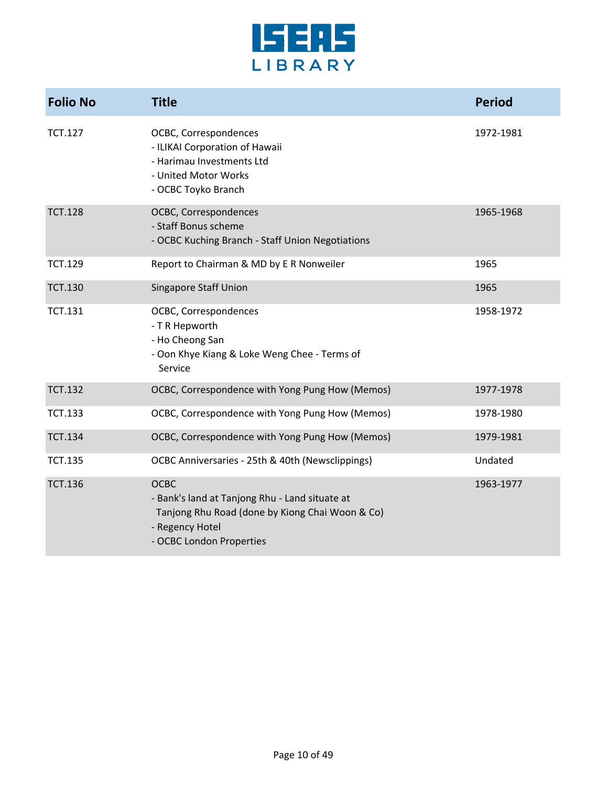

| <b>Folio No</b> | <b>Title</b>                                                                                                                                                    | <b>Period</b> |
|-----------------|-----------------------------------------------------------------------------------------------------------------------------------------------------------------|---------------|
| <b>TCT.127</b>  | OCBC, Correspondences<br>- ILIKAI Corporation of Hawaii<br>- Harimau Investments Ltd<br>- United Motor Works<br>- OCBC Toyko Branch                             | 1972-1981     |
| <b>TCT.128</b>  | OCBC, Correspondences<br>- Staff Bonus scheme<br>- OCBC Kuching Branch - Staff Union Negotiations                                                               | 1965-1968     |
| <b>TCT.129</b>  | Report to Chairman & MD by E R Nonweiler                                                                                                                        | 1965          |
| <b>TCT.130</b>  | <b>Singapore Staff Union</b>                                                                                                                                    | 1965          |
| <b>TCT.131</b>  | OCBC, Correspondences<br>- T R Hepworth<br>- Ho Cheong San<br>- Oon Khye Kiang & Loke Weng Chee - Terms of<br>Service                                           | 1958-1972     |
| <b>TCT.132</b>  | OCBC, Correspondence with Yong Pung How (Memos)                                                                                                                 | 1977-1978     |
| <b>TCT.133</b>  | OCBC, Correspondence with Yong Pung How (Memos)                                                                                                                 | 1978-1980     |
| <b>TCT.134</b>  | OCBC, Correspondence with Yong Pung How (Memos)                                                                                                                 | 1979-1981     |
| <b>TCT.135</b>  | OCBC Anniversaries - 25th & 40th (Newsclippings)                                                                                                                | Undated       |
| <b>TCT.136</b>  | <b>OCBC</b><br>- Bank's land at Tanjong Rhu - Land situate at<br>Tanjong Rhu Road (done by Kiong Chai Woon & Co)<br>- Regency Hotel<br>- OCBC London Properties | 1963-1977     |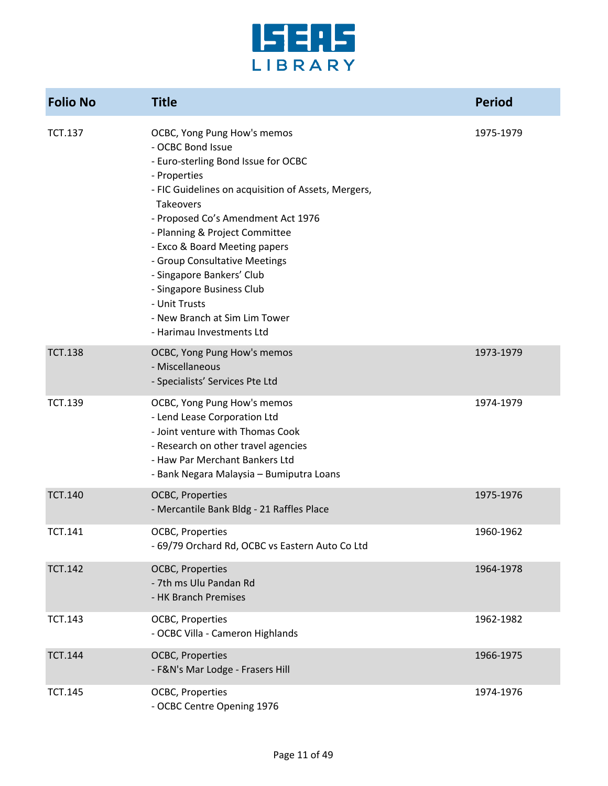

| <b>Folio No</b> | <b>Title</b>                                                                                                                                                                                                                                                                                                                                                                                                                                                   | <b>Period</b> |
|-----------------|----------------------------------------------------------------------------------------------------------------------------------------------------------------------------------------------------------------------------------------------------------------------------------------------------------------------------------------------------------------------------------------------------------------------------------------------------------------|---------------|
| <b>TCT.137</b>  | OCBC, Yong Pung How's memos<br>- OCBC Bond Issue<br>- Euro-sterling Bond Issue for OCBC<br>- Properties<br>- FIC Guidelines on acquisition of Assets, Mergers,<br>Takeovers<br>- Proposed Co's Amendment Act 1976<br>- Planning & Project Committee<br>- Exco & Board Meeting papers<br>- Group Consultative Meetings<br>- Singapore Bankers' Club<br>- Singapore Business Club<br>- Unit Trusts<br>- New Branch at Sim Lim Tower<br>- Harimau Investments Ltd | 1975-1979     |
| <b>TCT.138</b>  | OCBC, Yong Pung How's memos<br>- Miscellaneous<br>- Specialists' Services Pte Ltd                                                                                                                                                                                                                                                                                                                                                                              | 1973-1979     |
| <b>TCT.139</b>  | OCBC, Yong Pung How's memos<br>- Lend Lease Corporation Ltd<br>- Joint venture with Thomas Cook<br>- Research on other travel agencies<br>- Haw Par Merchant Bankers Ltd<br>- Bank Negara Malaysia - Bumiputra Loans                                                                                                                                                                                                                                           | 1974-1979     |
| <b>TCT.140</b>  | <b>OCBC, Properties</b><br>- Mercantile Bank Bldg - 21 Raffles Place                                                                                                                                                                                                                                                                                                                                                                                           | 1975-1976     |
| <b>TCT.141</b>  | <b>OCBC, Properties</b><br>- 69/79 Orchard Rd, OCBC vs Eastern Auto Co Ltd                                                                                                                                                                                                                                                                                                                                                                                     | 1960-1962     |
| <b>TCT.142</b>  | <b>OCBC, Properties</b><br>- 7th ms Ulu Pandan Rd<br>- HK Branch Premises                                                                                                                                                                                                                                                                                                                                                                                      | 1964-1978     |
| <b>TCT.143</b>  | OCBC, Properties<br>- OCBC Villa - Cameron Highlands                                                                                                                                                                                                                                                                                                                                                                                                           | 1962-1982     |
| <b>TCT.144</b>  | <b>OCBC, Properties</b><br>- F&N's Mar Lodge - Frasers Hill                                                                                                                                                                                                                                                                                                                                                                                                    | 1966-1975     |
| <b>TCT.145</b>  | OCBC, Properties<br>- OCBC Centre Opening 1976                                                                                                                                                                                                                                                                                                                                                                                                                 | 1974-1976     |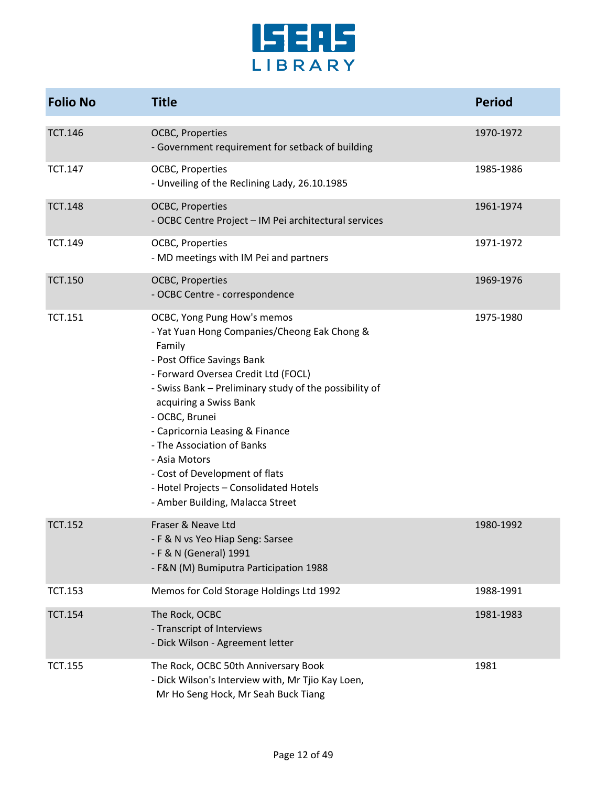

| <b>Folio No</b> | <b>Title</b>                                                                                                                                                                                                                                                                                                                                                                                                                                                       | <b>Period</b> |
|-----------------|--------------------------------------------------------------------------------------------------------------------------------------------------------------------------------------------------------------------------------------------------------------------------------------------------------------------------------------------------------------------------------------------------------------------------------------------------------------------|---------------|
| <b>TCT.146</b>  | OCBC, Properties<br>- Government requirement for setback of building                                                                                                                                                                                                                                                                                                                                                                                               | 1970-1972     |
| <b>TCT.147</b>  | OCBC, Properties<br>- Unveiling of the Reclining Lady, 26.10.1985                                                                                                                                                                                                                                                                                                                                                                                                  | 1985-1986     |
| <b>TCT.148</b>  | <b>OCBC, Properties</b><br>- OCBC Centre Project - IM Pei architectural services                                                                                                                                                                                                                                                                                                                                                                                   | 1961-1974     |
| <b>TCT.149</b>  | OCBC, Properties<br>- MD meetings with IM Pei and partners                                                                                                                                                                                                                                                                                                                                                                                                         | 1971-1972     |
| <b>TCT.150</b>  | OCBC, Properties<br>- OCBC Centre - correspondence                                                                                                                                                                                                                                                                                                                                                                                                                 | 1969-1976     |
| <b>TCT.151</b>  | OCBC, Yong Pung How's memos<br>- Yat Yuan Hong Companies/Cheong Eak Chong &<br>Family<br>- Post Office Savings Bank<br>- Forward Oversea Credit Ltd (FOCL)<br>- Swiss Bank - Preliminary study of the possibility of<br>acquiring a Swiss Bank<br>- OCBC, Brunei<br>- Capricornia Leasing & Finance<br>- The Association of Banks<br>- Asia Motors<br>- Cost of Development of flats<br>- Hotel Projects - Consolidated Hotels<br>- Amber Building, Malacca Street | 1975-1980     |
| <b>TCT.152</b>  | Fraser & Neave Ltd<br>- F & N vs Yeo Hiap Seng: Sarsee<br>- F & N (General) 1991<br>- F&N (M) Bumiputra Participation 1988                                                                                                                                                                                                                                                                                                                                         | 1980-1992     |
| <b>TCT.153</b>  | Memos for Cold Storage Holdings Ltd 1992                                                                                                                                                                                                                                                                                                                                                                                                                           | 1988-1991     |
| <b>TCT.154</b>  | The Rock, OCBC<br>- Transcript of Interviews<br>- Dick Wilson - Agreement letter                                                                                                                                                                                                                                                                                                                                                                                   | 1981-1983     |
| <b>TCT.155</b>  | The Rock, OCBC 50th Anniversary Book<br>- Dick Wilson's Interview with, Mr Tjio Kay Loen,<br>Mr Ho Seng Hock, Mr Seah Buck Tiang                                                                                                                                                                                                                                                                                                                                   | 1981          |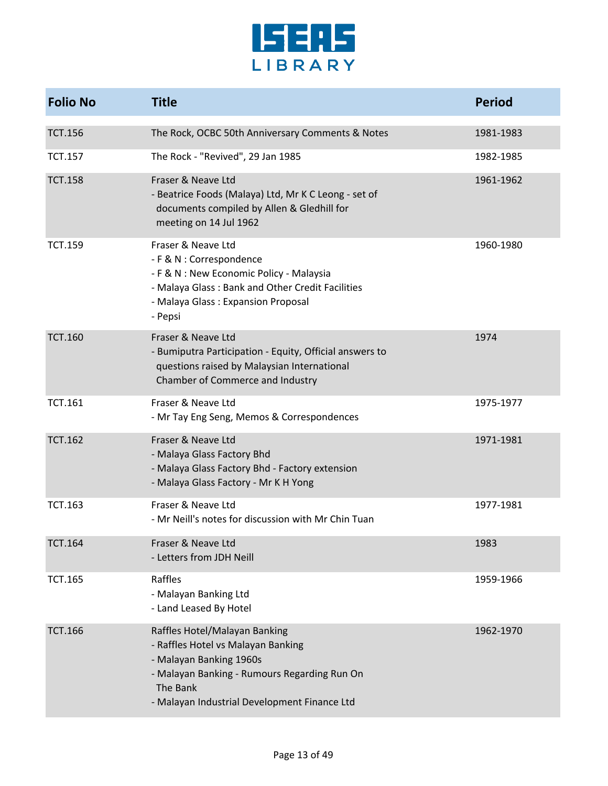

| <b>Folio No</b> | <b>Title</b>                                                                                                                                                                                               | <b>Period</b> |
|-----------------|------------------------------------------------------------------------------------------------------------------------------------------------------------------------------------------------------------|---------------|
| <b>TCT.156</b>  | The Rock, OCBC 50th Anniversary Comments & Notes                                                                                                                                                           | 1981-1983     |
| <b>TCT.157</b>  | The Rock - "Revived", 29 Jan 1985                                                                                                                                                                          | 1982-1985     |
| <b>TCT.158</b>  | Fraser & Neave Ltd<br>- Beatrice Foods (Malaya) Ltd, Mr K C Leong - set of<br>documents compiled by Allen & Gledhill for<br>meeting on 14 Jul 1962                                                         | 1961-1962     |
| <b>TCT.159</b>  | Fraser & Neave Ltd<br>- F & N : Correspondence<br>- F & N : New Economic Policy - Malaysia<br>- Malaya Glass: Bank and Other Credit Facilities<br>- Malaya Glass: Expansion Proposal<br>- Pepsi            | 1960-1980     |
| <b>TCT.160</b>  | Fraser & Neave Ltd<br>- Bumiputra Participation - Equity, Official answers to<br>questions raised by Malaysian International<br>Chamber of Commerce and Industry                                           | 1974          |
| <b>TCT.161</b>  | Fraser & Neave Ltd<br>- Mr Tay Eng Seng, Memos & Correspondences                                                                                                                                           | 1975-1977     |
| <b>TCT.162</b>  | Fraser & Neave Ltd<br>- Malaya Glass Factory Bhd<br>- Malaya Glass Factory Bhd - Factory extension<br>- Malaya Glass Factory - Mr K H Yong                                                                 | 1971-1981     |
| <b>TCT.163</b>  | Fraser & Neave Ltd<br>- Mr Neill's notes for discussion with Mr Chin Tuan                                                                                                                                  | 1977-1981     |
| <b>TCT.164</b>  | Fraser & Neave Ltd<br>- Letters from JDH Neill                                                                                                                                                             | 1983          |
| <b>TCT.165</b>  | Raffles<br>- Malayan Banking Ltd<br>- Land Leased By Hotel                                                                                                                                                 | 1959-1966     |
| <b>TCT.166</b>  | Raffles Hotel/Malayan Banking<br>- Raffles Hotel vs Malayan Banking<br>- Malayan Banking 1960s<br>- Malayan Banking - Rumours Regarding Run On<br>The Bank<br>- Malayan Industrial Development Finance Ltd | 1962-1970     |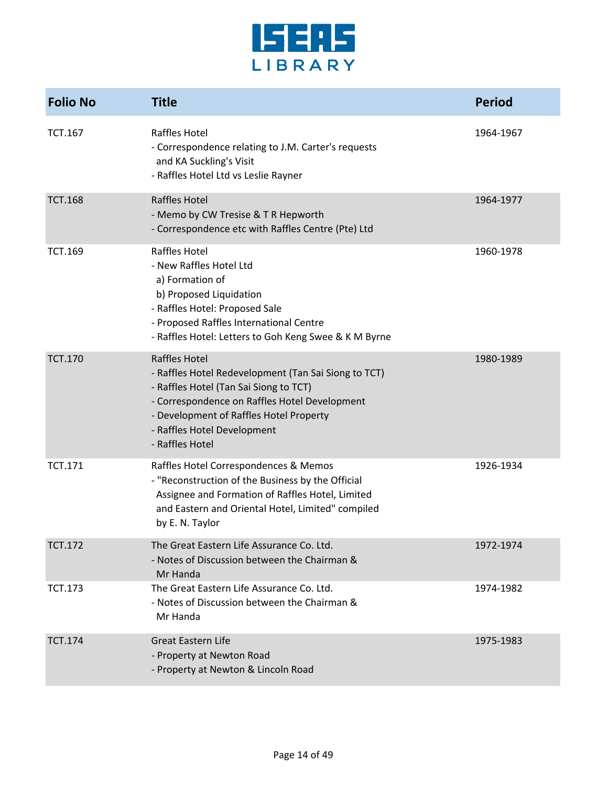

| <b>Folio No</b> | <b>Title</b>                                                                                                                                                                                                                                                         | <b>Period</b> |
|-----------------|----------------------------------------------------------------------------------------------------------------------------------------------------------------------------------------------------------------------------------------------------------------------|---------------|
| <b>TCT.167</b>  | Raffles Hotel<br>- Correspondence relating to J.M. Carter's requests<br>and KA Suckling's Visit<br>- Raffles Hotel Ltd vs Leslie Rayner                                                                                                                              | 1964-1967     |
| <b>TCT.168</b>  | <b>Raffles Hotel</b><br>- Memo by CW Tresise & T R Hepworth<br>- Correspondence etc with Raffles Centre (Pte) Ltd                                                                                                                                                    | 1964-1977     |
| <b>TCT.169</b>  | Raffles Hotel<br>- New Raffles Hotel Ltd<br>a) Formation of<br>b) Proposed Liquidation<br>- Raffles Hotel: Proposed Sale<br>- Proposed Raffles International Centre<br>- Raffles Hotel: Letters to Goh Keng Swee & K M Byrne                                         | 1960-1978     |
| <b>TCT.170</b>  | <b>Raffles Hotel</b><br>- Raffles Hotel Redevelopment (Tan Sai Siong to TCT)<br>- Raffles Hotel (Tan Sai Siong to TCT)<br>- Correspondence on Raffles Hotel Development<br>- Development of Raffles Hotel Property<br>- Raffles Hotel Development<br>- Raffles Hotel | 1980-1989     |
| <b>TCT.171</b>  | Raffles Hotel Correspondences & Memos<br>- "Reconstruction of the Business by the Official<br>Assignee and Formation of Raffles Hotel, Limited<br>and Eastern and Oriental Hotel, Limited" compiled<br>by E. N. Taylor                                               | 1926-1934     |
| <b>TCT.172</b>  | The Great Eastern Life Assurance Co. Ltd.<br>- Notes of Discussion between the Chairman &<br>Mr Handa                                                                                                                                                                | 1972-1974     |
| <b>TCT.173</b>  | The Great Eastern Life Assurance Co. Ltd.<br>- Notes of Discussion between the Chairman &<br>Mr Handa                                                                                                                                                                | 1974-1982     |
| <b>TCT.174</b>  | <b>Great Eastern Life</b><br>- Property at Newton Road<br>- Property at Newton & Lincoln Road                                                                                                                                                                        | 1975-1983     |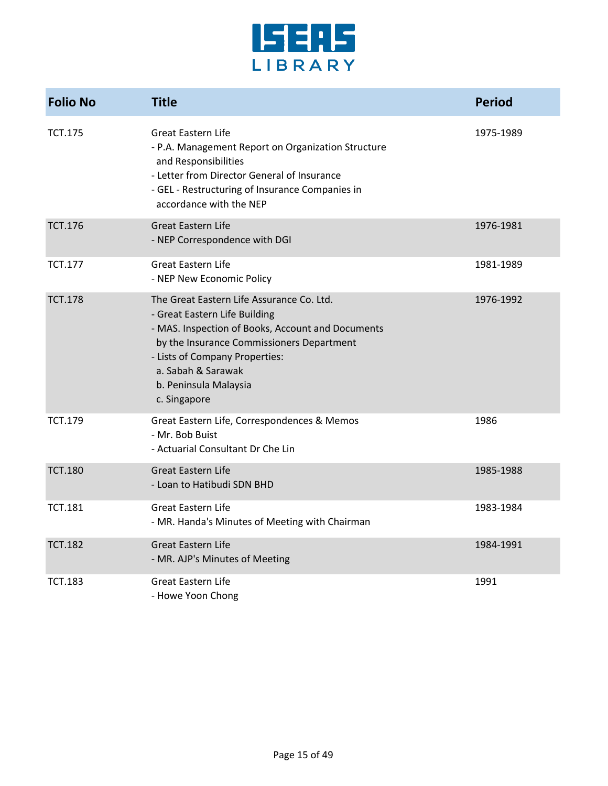

| <b>Folio No</b> | <b>Title</b>                                                                                                                                                                                                                                                                  | <b>Period</b> |
|-----------------|-------------------------------------------------------------------------------------------------------------------------------------------------------------------------------------------------------------------------------------------------------------------------------|---------------|
| <b>TCT.175</b>  | <b>Great Eastern Life</b><br>- P.A. Management Report on Organization Structure<br>and Responsibilities<br>- Letter from Director General of Insurance<br>- GEL - Restructuring of Insurance Companies in<br>accordance with the NEP                                          | 1975-1989     |
| <b>TCT.176</b>  | <b>Great Eastern Life</b><br>- NEP Correspondence with DGI                                                                                                                                                                                                                    | 1976-1981     |
| <b>TCT.177</b>  | <b>Great Eastern Life</b><br>- NEP New Economic Policy                                                                                                                                                                                                                        | 1981-1989     |
| <b>TCT.178</b>  | The Great Eastern Life Assurance Co. Ltd.<br>- Great Eastern Life Building<br>- MAS. Inspection of Books, Account and Documents<br>by the Insurance Commissioners Department<br>- Lists of Company Properties:<br>a. Sabah & Sarawak<br>b. Peninsula Malaysia<br>c. Singapore | 1976-1992     |
| <b>TCT.179</b>  | Great Eastern Life, Correspondences & Memos<br>- Mr. Bob Buist<br>- Actuarial Consultant Dr Che Lin                                                                                                                                                                           | 1986          |
| <b>TCT.180</b>  | <b>Great Eastern Life</b><br>- Loan to Hatibudi SDN BHD                                                                                                                                                                                                                       | 1985-1988     |
| <b>TCT.181</b>  | <b>Great Eastern Life</b><br>- MR. Handa's Minutes of Meeting with Chairman                                                                                                                                                                                                   | 1983-1984     |
| <b>TCT.182</b>  | <b>Great Eastern Life</b><br>- MR. AJP's Minutes of Meeting                                                                                                                                                                                                                   | 1984-1991     |
| <b>TCT.183</b>  | <b>Great Eastern Life</b><br>- Howe Yoon Chong                                                                                                                                                                                                                                | 1991          |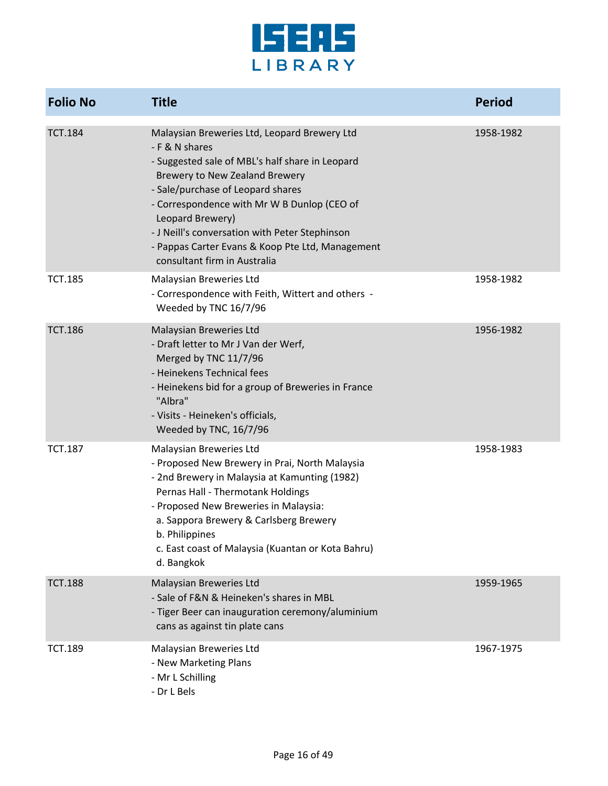

| <b>Folio No</b> | <b>Title</b>                                                                                                                                                                                                                                                                                                                                                                                      | <b>Period</b> |
|-----------------|---------------------------------------------------------------------------------------------------------------------------------------------------------------------------------------------------------------------------------------------------------------------------------------------------------------------------------------------------------------------------------------------------|---------------|
| <b>TCT.184</b>  | Malaysian Breweries Ltd, Leopard Brewery Ltd<br>- F & N shares<br>- Suggested sale of MBL's half share in Leopard<br>Brewery to New Zealand Brewery<br>- Sale/purchase of Leopard shares<br>- Correspondence with Mr W B Dunlop (CEO of<br>Leopard Brewery)<br>- J Neill's conversation with Peter Stephinson<br>- Pappas Carter Evans & Koop Pte Ltd, Management<br>consultant firm in Australia | 1958-1982     |
| <b>TCT.185</b>  | Malaysian Breweries Ltd<br>- Correspondence with Feith, Wittert and others -<br>Weeded by TNC 16/7/96                                                                                                                                                                                                                                                                                             | 1958-1982     |
| <b>TCT.186</b>  | Malaysian Breweries Ltd<br>- Draft letter to Mr J Van der Werf,<br>Merged by TNC 11/7/96<br>- Heinekens Technical fees<br>- Heinekens bid for a group of Breweries in France<br>"Albra"<br>- Visits - Heineken's officials,<br>Weeded by TNC, 16/7/96                                                                                                                                             | 1956-1982     |
| <b>TCT.187</b>  | Malaysian Breweries Ltd<br>- Proposed New Brewery in Prai, North Malaysia<br>- 2nd Brewery in Malaysia at Kamunting (1982)<br>Pernas Hall - Thermotank Holdings<br>- Proposed New Breweries in Malaysia:<br>a. Sappora Brewery & Carlsberg Brewery<br>b. Philippines<br>c. East coast of Malaysia (Kuantan or Kota Bahru)<br>d. Bangkok                                                           | 1958-1983     |
| <b>TCT.188</b>  | Malaysian Breweries Ltd<br>- Sale of F&N & Heineken's shares in MBL<br>- Tiger Beer can inauguration ceremony/aluminium<br>cans as against tin plate cans                                                                                                                                                                                                                                         | 1959-1965     |
| <b>TCT.189</b>  | Malaysian Breweries Ltd<br>- New Marketing Plans<br>- Mr L Schilling<br>- Dr L Bels                                                                                                                                                                                                                                                                                                               | 1967-1975     |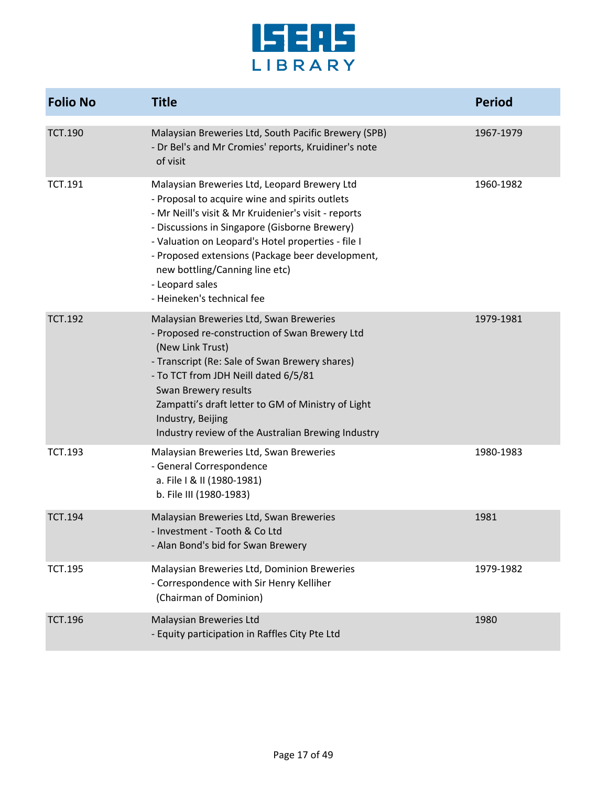

| <b>Folio No</b> | <b>Title</b>                                                                                                                                                                                                                                                                                                                                                                                         | <b>Period</b> |
|-----------------|------------------------------------------------------------------------------------------------------------------------------------------------------------------------------------------------------------------------------------------------------------------------------------------------------------------------------------------------------------------------------------------------------|---------------|
| <b>TCT.190</b>  | Malaysian Breweries Ltd, South Pacific Brewery (SPB)<br>- Dr Bel's and Mr Cromies' reports, Kruidiner's note<br>of visit                                                                                                                                                                                                                                                                             | 1967-1979     |
| <b>TCT.191</b>  | Malaysian Breweries Ltd, Leopard Brewery Ltd<br>- Proposal to acquire wine and spirits outlets<br>- Mr Neill's visit & Mr Kruidenier's visit - reports<br>- Discussions in Singapore (Gisborne Brewery)<br>- Valuation on Leopard's Hotel properties - file I<br>- Proposed extensions (Package beer development,<br>new bottling/Canning line etc)<br>- Leopard sales<br>- Heineken's technical fee | 1960-1982     |
| <b>TCT.192</b>  | Malaysian Breweries Ltd, Swan Breweries<br>- Proposed re-construction of Swan Brewery Ltd<br>(New Link Trust)<br>- Transcript (Re: Sale of Swan Brewery shares)<br>- To TCT from JDH Neill dated 6/5/81<br>Swan Brewery results<br>Zampatti's draft letter to GM of Ministry of Light<br>Industry, Beijing<br>Industry review of the Australian Brewing Industry                                     | 1979-1981     |
| <b>TCT.193</b>  | Malaysian Breweries Ltd, Swan Breweries<br>- General Correspondence<br>a. File I & II (1980-1981)<br>b. File III (1980-1983)                                                                                                                                                                                                                                                                         | 1980-1983     |
| <b>TCT.194</b>  | Malaysian Breweries Ltd, Swan Breweries<br>- Investment - Tooth & Co Ltd<br>- Alan Bond's bid for Swan Brewery                                                                                                                                                                                                                                                                                       | 1981          |
| <b>TCT.195</b>  | Malaysian Breweries Ltd, Dominion Breweries<br>- Correspondence with Sir Henry Kelliher<br>(Chairman of Dominion)                                                                                                                                                                                                                                                                                    | 1979-1982     |
| <b>TCT.196</b>  | Malaysian Breweries Ltd<br>- Equity participation in Raffles City Pte Ltd                                                                                                                                                                                                                                                                                                                            | 1980          |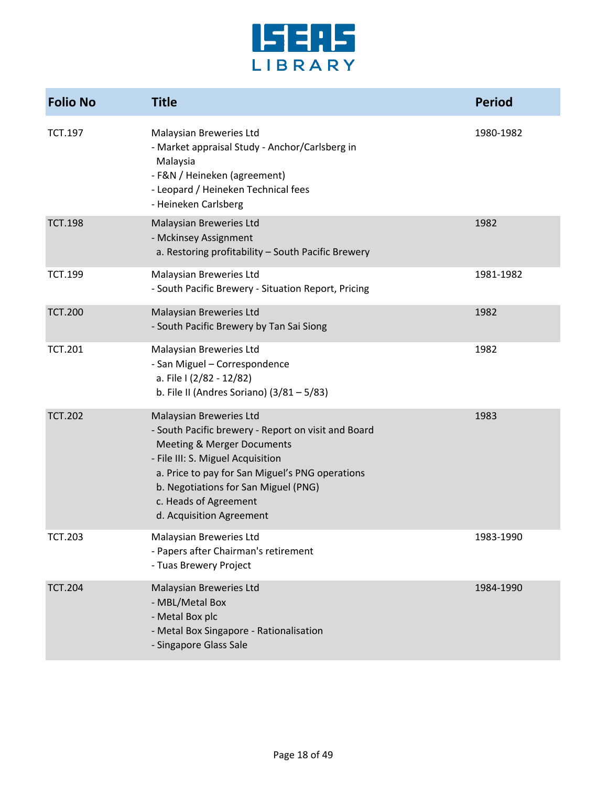

| <b>Folio No</b> | <b>Title</b>                                                                                                                                                                                                                                                                                                 | <b>Period</b> |
|-----------------|--------------------------------------------------------------------------------------------------------------------------------------------------------------------------------------------------------------------------------------------------------------------------------------------------------------|---------------|
| TCT.197         | Malaysian Breweries Ltd<br>- Market appraisal Study - Anchor/Carlsberg in<br>Malaysia<br>- F&N / Heineken (agreement)<br>- Leopard / Heineken Technical fees<br>- Heineken Carlsberg                                                                                                                         | 1980-1982     |
| <b>TCT.198</b>  | Malaysian Breweries Ltd<br>- Mckinsey Assignment<br>a. Restoring profitability - South Pacific Brewery                                                                                                                                                                                                       | 1982          |
| <b>TCT.199</b>  | Malaysian Breweries Ltd<br>- South Pacific Brewery - Situation Report, Pricing                                                                                                                                                                                                                               | 1981-1982     |
| <b>TCT.200</b>  | Malaysian Breweries Ltd<br>- South Pacific Brewery by Tan Sai Siong                                                                                                                                                                                                                                          | 1982          |
| <b>TCT.201</b>  | Malaysian Breweries Ltd<br>- San Miguel - Correspondence<br>a. File I (2/82 - 12/82)<br>b. File II (Andres Soriano) $(3/81 - 5/83)$                                                                                                                                                                          | 1982          |
| <b>TCT.202</b>  | Malaysian Breweries Ltd<br>- South Pacific brewery - Report on visit and Board<br><b>Meeting &amp; Merger Documents</b><br>- File III: S. Miguel Acquisition<br>a. Price to pay for San Miguel's PNG operations<br>b. Negotiations for San Miguel (PNG)<br>c. Heads of Agreement<br>d. Acquisition Agreement | 1983          |
| <b>TCT.203</b>  | Malaysian Breweries Ltd<br>- Papers after Chairman's retirement<br>- Tuas Brewery Project                                                                                                                                                                                                                    | 1983-1990     |
| <b>TCT.204</b>  | Malaysian Breweries Ltd<br>- MBL/Metal Box<br>- Metal Box plc<br>- Metal Box Singapore - Rationalisation<br>- Singapore Glass Sale                                                                                                                                                                           | 1984-1990     |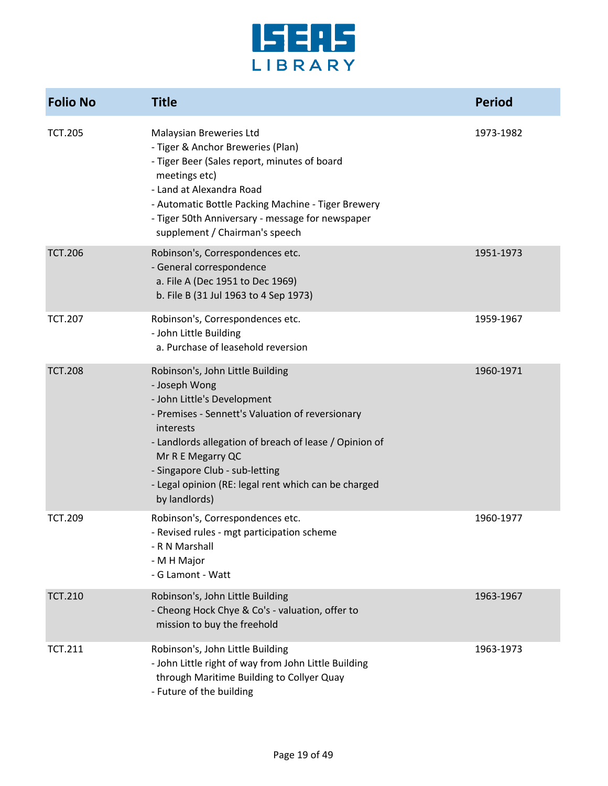

| <b>Folio No</b> | <b>Title</b>                                                                                                                                                                                                                                                                                                                                | <b>Period</b> |
|-----------------|---------------------------------------------------------------------------------------------------------------------------------------------------------------------------------------------------------------------------------------------------------------------------------------------------------------------------------------------|---------------|
| <b>TCT.205</b>  | Malaysian Breweries Ltd<br>- Tiger & Anchor Breweries (Plan)<br>- Tiger Beer (Sales report, minutes of board<br>meetings etc)<br>- Land at Alexandra Road<br>- Automatic Bottle Packing Machine - Tiger Brewery<br>- Tiger 50th Anniversary - message for newspaper<br>supplement / Chairman's speech                                       | 1973-1982     |
| <b>TCT.206</b>  | Robinson's, Correspondences etc.<br>- General correspondence<br>a. File A (Dec 1951 to Dec 1969)<br>b. File B (31 Jul 1963 to 4 Sep 1973)                                                                                                                                                                                                   | 1951-1973     |
| <b>TCT.207</b>  | Robinson's, Correspondences etc.<br>- John Little Building<br>a. Purchase of leasehold reversion                                                                                                                                                                                                                                            | 1959-1967     |
| <b>TCT.208</b>  | Robinson's, John Little Building<br>- Joseph Wong<br>- John Little's Development<br>- Premises - Sennett's Valuation of reversionary<br>interests<br>- Landlords allegation of breach of lease / Opinion of<br>Mr R E Megarry QC<br>- Singapore Club - sub-letting<br>- Legal opinion (RE: legal rent which can be charged<br>by landlords) | 1960-1971     |
| <b>TCT.209</b>  | Robinson's, Correspondences etc.<br>- Revised rules - mgt participation scheme<br>- R N Marshall<br>- M H Major<br>- G Lamont - Watt                                                                                                                                                                                                        | 1960-1977     |
| <b>TCT.210</b>  | Robinson's, John Little Building<br>- Cheong Hock Chye & Co's - valuation, offer to<br>mission to buy the freehold                                                                                                                                                                                                                          | 1963-1967     |
| <b>TCT.211</b>  | Robinson's, John Little Building<br>- John Little right of way from John Little Building<br>through Maritime Building to Collyer Quay<br>- Future of the building                                                                                                                                                                           | 1963-1973     |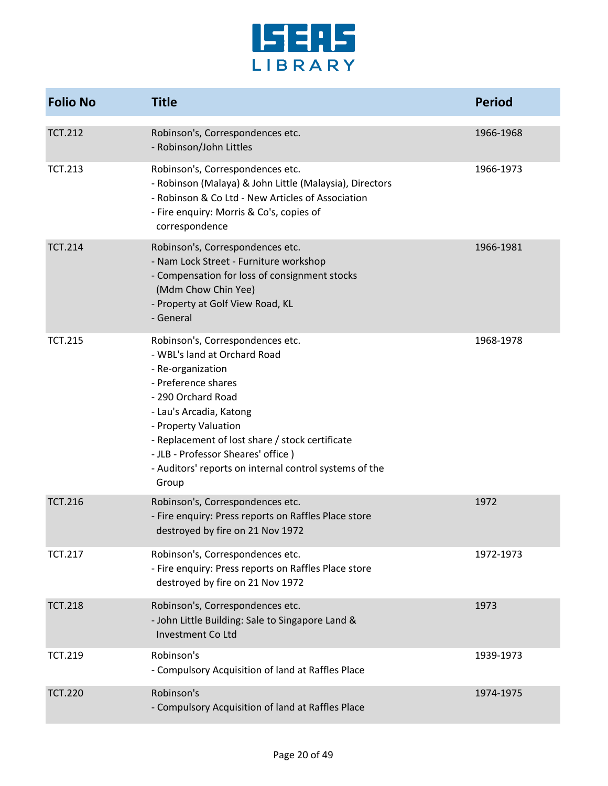

| <b>Folio No</b> | <b>Title</b>                                                                                                                                                                                                                                                                                                                                      | <b>Period</b> |
|-----------------|---------------------------------------------------------------------------------------------------------------------------------------------------------------------------------------------------------------------------------------------------------------------------------------------------------------------------------------------------|---------------|
| <b>TCT.212</b>  | Robinson's, Correspondences etc.<br>- Robinson/John Littles                                                                                                                                                                                                                                                                                       | 1966-1968     |
| <b>TCT.213</b>  | Robinson's, Correspondences etc.<br>- Robinson (Malaya) & John Little (Malaysia), Directors<br>- Robinson & Co Ltd - New Articles of Association<br>- Fire enquiry: Morris & Co's, copies of<br>correspondence                                                                                                                                    | 1966-1973     |
| <b>TCT.214</b>  | Robinson's, Correspondences etc.<br>- Nam Lock Street - Furniture workshop<br>- Compensation for loss of consignment stocks<br>(Mdm Chow Chin Yee)<br>- Property at Golf View Road, KL<br>- General                                                                                                                                               | 1966-1981     |
| <b>TCT.215</b>  | Robinson's, Correspondences etc.<br>- WBL's land at Orchard Road<br>- Re-organization<br>- Preference shares<br>- 290 Orchard Road<br>- Lau's Arcadia, Katong<br>- Property Valuation<br>- Replacement of lost share / stock certificate<br>- JLB - Professor Sheares' office)<br>- Auditors' reports on internal control systems of the<br>Group | 1968-1978     |
| <b>TCT.216</b>  | Robinson's, Correspondences etc.<br>- Fire enquiry: Press reports on Raffles Place store<br>destroyed by fire on 21 Nov 1972                                                                                                                                                                                                                      | 1972          |
| <b>TCT.217</b>  | Robinson's, Correspondences etc.<br>- Fire enquiry: Press reports on Raffles Place store<br>destroyed by fire on 21 Nov 1972                                                                                                                                                                                                                      | 1972-1973     |
| <b>TCT.218</b>  | Robinson's, Correspondences etc.<br>- John Little Building: Sale to Singapore Land &<br>Investment Co Ltd                                                                                                                                                                                                                                         | 1973          |
| <b>TCT.219</b>  | Robinson's<br>- Compulsory Acquisition of land at Raffles Place                                                                                                                                                                                                                                                                                   | 1939-1973     |
| <b>TCT.220</b>  | Robinson's<br>- Compulsory Acquisition of land at Raffles Place                                                                                                                                                                                                                                                                                   | 1974-1975     |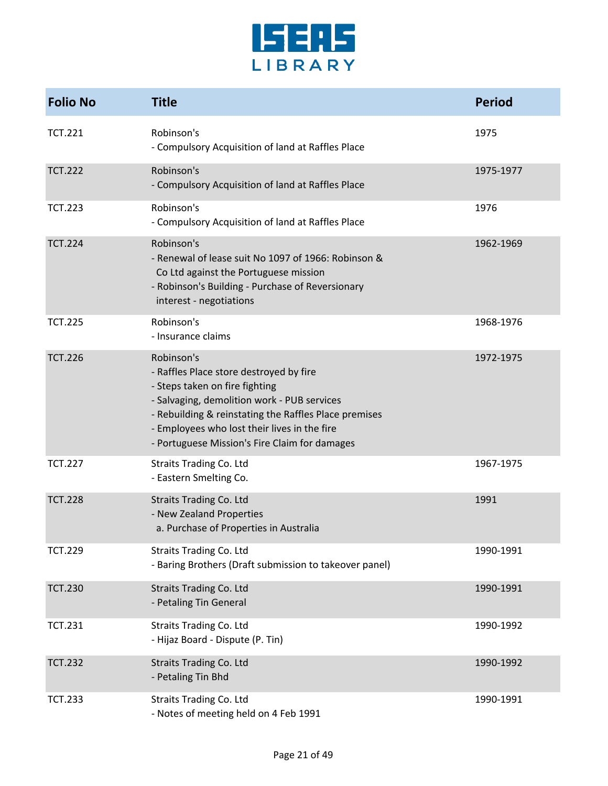

| <b>Folio No</b> | <b>Title</b>                                                                                                                                                                                                                                                                                     | <b>Period</b> |
|-----------------|--------------------------------------------------------------------------------------------------------------------------------------------------------------------------------------------------------------------------------------------------------------------------------------------------|---------------|
| <b>TCT.221</b>  | Robinson's<br>- Compulsory Acquisition of land at Raffles Place                                                                                                                                                                                                                                  | 1975          |
| <b>TCT.222</b>  | Robinson's<br>- Compulsory Acquisition of land at Raffles Place                                                                                                                                                                                                                                  | 1975-1977     |
| <b>TCT.223</b>  | Robinson's<br>- Compulsory Acquisition of land at Raffles Place                                                                                                                                                                                                                                  | 1976          |
| <b>TCT.224</b>  | Robinson's<br>- Renewal of lease suit No 1097 of 1966: Robinson &<br>Co Ltd against the Portuguese mission<br>- Robinson's Building - Purchase of Reversionary<br>interest - negotiations                                                                                                        | 1962-1969     |
| <b>TCT.225</b>  | Robinson's<br>- Insurance claims                                                                                                                                                                                                                                                                 | 1968-1976     |
| <b>TCT.226</b>  | Robinson's<br>- Raffles Place store destroyed by fire<br>- Steps taken on fire fighting<br>- Salvaging, demolition work - PUB services<br>- Rebuilding & reinstating the Raffles Place premises<br>- Employees who lost their lives in the fire<br>- Portuguese Mission's Fire Claim for damages | 1972-1975     |
| <b>TCT.227</b>  | <b>Straits Trading Co. Ltd</b><br>- Eastern Smelting Co.                                                                                                                                                                                                                                         | 1967-1975     |
| <b>TCT.228</b>  | <b>Straits Trading Co. Ltd</b><br>- New Zealand Properties<br>a. Purchase of Properties in Australia                                                                                                                                                                                             | 1991          |
| <b>TCT.229</b>  | <b>Straits Trading Co. Ltd</b><br>- Baring Brothers (Draft submission to takeover panel)                                                                                                                                                                                                         | 1990-1991     |
| <b>TCT.230</b>  | <b>Straits Trading Co. Ltd</b><br>- Petaling Tin General                                                                                                                                                                                                                                         | 1990-1991     |
| <b>TCT.231</b>  | Straits Trading Co. Ltd<br>- Hijaz Board - Dispute (P. Tin)                                                                                                                                                                                                                                      | 1990-1992     |
| <b>TCT.232</b>  | <b>Straits Trading Co. Ltd</b><br>- Petaling Tin Bhd                                                                                                                                                                                                                                             | 1990-1992     |
| <b>TCT.233</b>  | <b>Straits Trading Co. Ltd</b><br>- Notes of meeting held on 4 Feb 1991                                                                                                                                                                                                                          | 1990-1991     |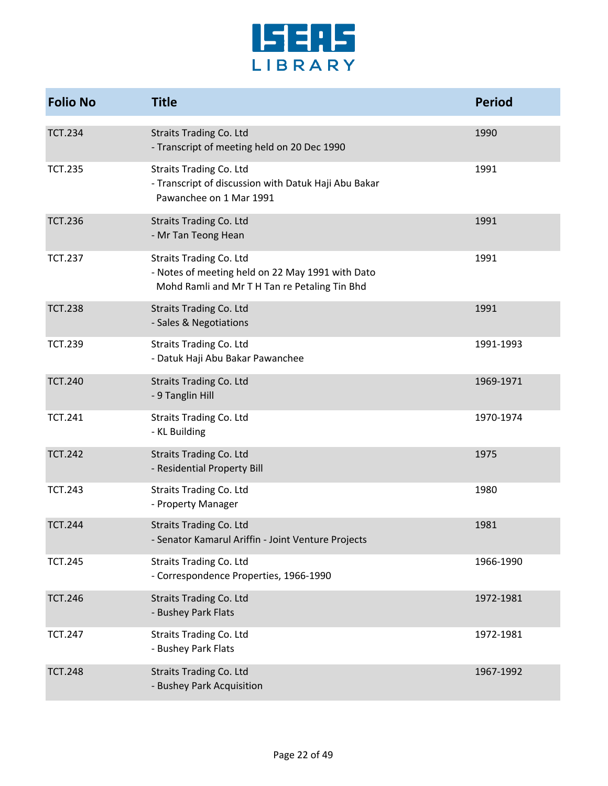

| <b>Folio No</b> | <b>Title</b>                                                                                                                        | <b>Period</b> |
|-----------------|-------------------------------------------------------------------------------------------------------------------------------------|---------------|
| <b>TCT.234</b>  | <b>Straits Trading Co. Ltd</b><br>- Transcript of meeting held on 20 Dec 1990                                                       | 1990          |
| <b>TCT.235</b>  | <b>Straits Trading Co. Ltd</b><br>- Transcript of discussion with Datuk Haji Abu Bakar<br>Pawanchee on 1 Mar 1991                   | 1991          |
| <b>TCT.236</b>  | <b>Straits Trading Co. Ltd</b><br>- Mr Tan Teong Hean                                                                               | 1991          |
| <b>TCT.237</b>  | <b>Straits Trading Co. Ltd</b><br>- Notes of meeting held on 22 May 1991 with Dato<br>Mohd Ramli and Mr T H Tan re Petaling Tin Bhd | 1991          |
| <b>TCT.238</b>  | <b>Straits Trading Co. Ltd</b><br>- Sales & Negotiations                                                                            | 1991          |
| <b>TCT.239</b>  | <b>Straits Trading Co. Ltd</b><br>- Datuk Haji Abu Bakar Pawanchee                                                                  | 1991-1993     |
| <b>TCT.240</b>  | <b>Straits Trading Co. Ltd</b><br>- 9 Tanglin Hill                                                                                  | 1969-1971     |
| <b>TCT.241</b>  | <b>Straits Trading Co. Ltd</b><br>- KL Building                                                                                     | 1970-1974     |
| <b>TCT.242</b>  | <b>Straits Trading Co. Ltd</b><br>- Residential Property Bill                                                                       | 1975          |
| <b>TCT.243</b>  | <b>Straits Trading Co. Ltd</b><br>- Property Manager                                                                                | 1980          |
| <b>TCT.244</b>  | <b>Straits Trading Co. Ltd</b><br>- Senator Kamarul Ariffin - Joint Venture Projects                                                | 1981          |
| <b>TCT.245</b>  | <b>Straits Trading Co. Ltd</b><br>- Correspondence Properties, 1966-1990                                                            | 1966-1990     |
| <b>TCT.246</b>  | <b>Straits Trading Co. Ltd</b><br>- Bushey Park Flats                                                                               | 1972-1981     |
| <b>TCT.247</b>  | <b>Straits Trading Co. Ltd</b><br>- Bushey Park Flats                                                                               | 1972-1981     |
| <b>TCT.248</b>  | <b>Straits Trading Co. Ltd</b><br>- Bushey Park Acquisition                                                                         | 1967-1992     |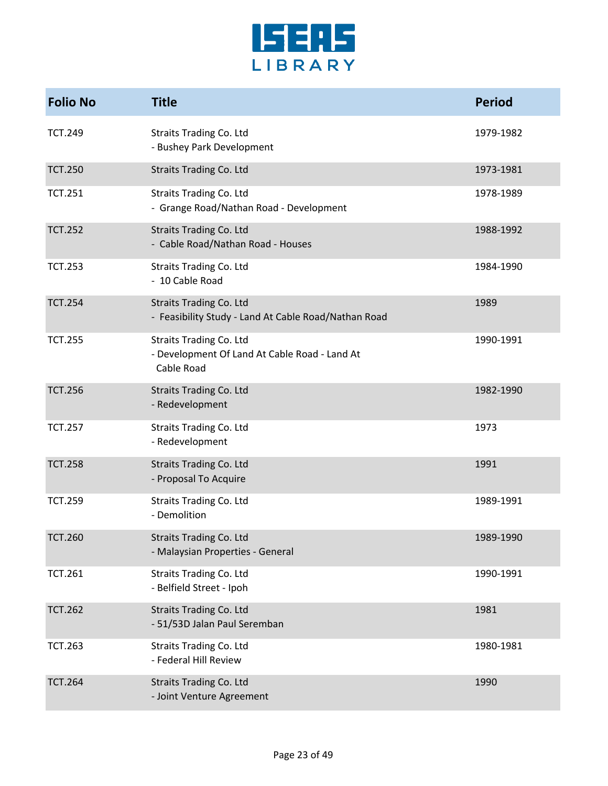

| <b>Folio No</b> | <b>Title</b>                                                                                  | <b>Period</b> |
|-----------------|-----------------------------------------------------------------------------------------------|---------------|
| <b>TCT.249</b>  | <b>Straits Trading Co. Ltd</b><br>- Bushey Park Development                                   | 1979-1982     |
| <b>TCT.250</b>  | <b>Straits Trading Co. Ltd</b>                                                                | 1973-1981     |
| <b>TCT.251</b>  | <b>Straits Trading Co. Ltd</b><br>- Grange Road/Nathan Road - Development                     | 1978-1989     |
| <b>TCT.252</b>  | <b>Straits Trading Co. Ltd</b><br>- Cable Road/Nathan Road - Houses                           | 1988-1992     |
| <b>TCT.253</b>  | <b>Straits Trading Co. Ltd</b><br>- 10 Cable Road                                             | 1984-1990     |
| <b>TCT.254</b>  | <b>Straits Trading Co. Ltd</b><br>- Feasibility Study - Land At Cable Road/Nathan Road        | 1989          |
| <b>TCT.255</b>  | <b>Straits Trading Co. Ltd</b><br>- Development Of Land At Cable Road - Land At<br>Cable Road | 1990-1991     |
| <b>TCT.256</b>  | <b>Straits Trading Co. Ltd</b><br>- Redevelopment                                             | 1982-1990     |
| <b>TCT.257</b>  | <b>Straits Trading Co. Ltd</b><br>- Redevelopment                                             | 1973          |
| <b>TCT.258</b>  | <b>Straits Trading Co. Ltd</b><br>- Proposal To Acquire                                       | 1991          |
| <b>TCT.259</b>  | <b>Straits Trading Co. Ltd</b><br>- Demolition                                                | 1989-1991     |
| <b>TCT.260</b>  | <b>Straits Trading Co. Ltd</b><br>- Malaysian Properties - General                            | 1989-1990     |
| <b>TCT.261</b>  | <b>Straits Trading Co. Ltd</b><br>- Belfield Street - Ipoh                                    | 1990-1991     |
| <b>TCT.262</b>  | <b>Straits Trading Co. Ltd</b><br>- 51/53D Jalan Paul Seremban                                | 1981          |
| <b>TCT.263</b>  | <b>Straits Trading Co. Ltd</b><br>- Federal Hill Review                                       | 1980-1981     |
| <b>TCT.264</b>  | <b>Straits Trading Co. Ltd</b><br>- Joint Venture Agreement                                   | 1990          |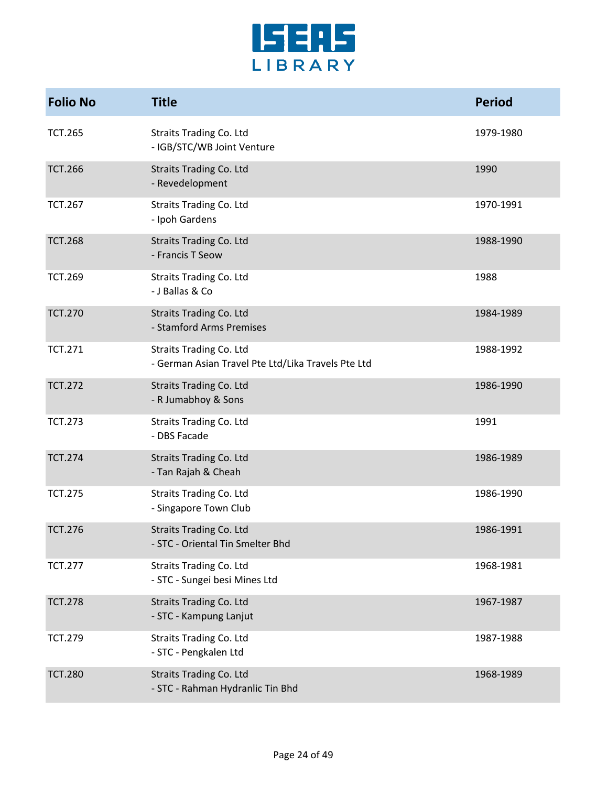

| <b>Folio No</b> | <b>Title</b>                                                                         | <b>Period</b> |
|-----------------|--------------------------------------------------------------------------------------|---------------|
| <b>TCT.265</b>  | <b>Straits Trading Co. Ltd</b><br>- IGB/STC/WB Joint Venture                         | 1979-1980     |
| <b>TCT.266</b>  | <b>Straits Trading Co. Ltd</b><br>- Revedelopment                                    | 1990          |
| <b>TCT.267</b>  | <b>Straits Trading Co. Ltd</b><br>- Ipoh Gardens                                     | 1970-1991     |
| <b>TCT.268</b>  | <b>Straits Trading Co. Ltd</b><br>- Francis T Seow                                   | 1988-1990     |
| <b>TCT.269</b>  | <b>Straits Trading Co. Ltd</b><br>- J Ballas & Co                                    | 1988          |
| <b>TCT.270</b>  | <b>Straits Trading Co. Ltd</b><br>- Stamford Arms Premises                           | 1984-1989     |
| <b>TCT.271</b>  | <b>Straits Trading Co. Ltd</b><br>- German Asian Travel Pte Ltd/Lika Travels Pte Ltd | 1988-1992     |
| <b>TCT.272</b>  | <b>Straits Trading Co. Ltd</b><br>- R Jumabhoy & Sons                                | 1986-1990     |
| <b>TCT.273</b>  | <b>Straits Trading Co. Ltd</b><br>- DBS Facade                                       | 1991          |
| <b>TCT.274</b>  | <b>Straits Trading Co. Ltd</b><br>- Tan Rajah & Cheah                                | 1986-1989     |
| <b>TCT.275</b>  | <b>Straits Trading Co. Ltd</b><br>- Singapore Town Club                              | 1986-1990     |
| <b>TCT.276</b>  | <b>Straits Trading Co. Ltd</b><br>- STC - Oriental Tin Smelter Bhd                   | 1986-1991     |
| <b>TCT.277</b>  | <b>Straits Trading Co. Ltd</b><br>- STC - Sungei besi Mines Ltd                      | 1968-1981     |
| <b>TCT.278</b>  | <b>Straits Trading Co. Ltd</b><br>- STC - Kampung Lanjut                             | 1967-1987     |
| <b>TCT.279</b>  | <b>Straits Trading Co. Ltd</b><br>- STC - Pengkalen Ltd                              | 1987-1988     |
| <b>TCT.280</b>  | <b>Straits Trading Co. Ltd</b><br>- STC - Rahman Hydranlic Tin Bhd                   | 1968-1989     |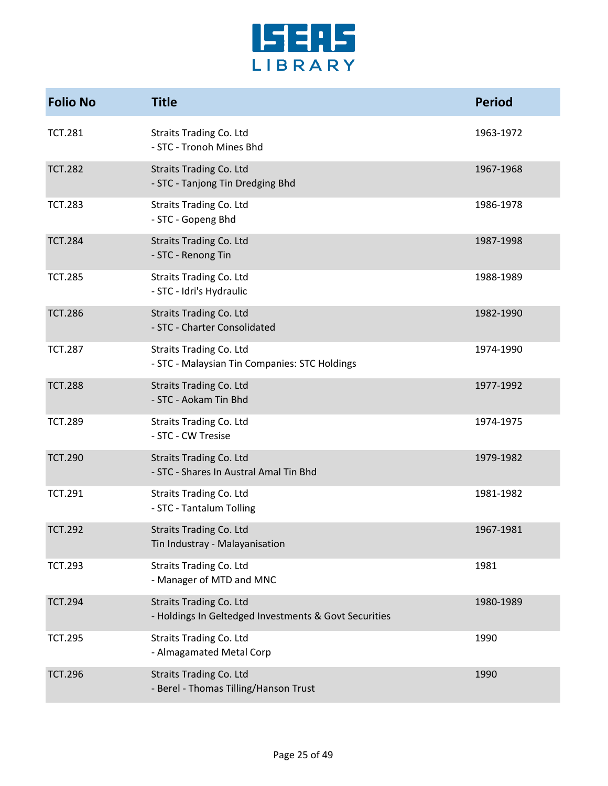

| <b>Folio No</b> | <b>Title</b>                                                                            | <b>Period</b> |
|-----------------|-----------------------------------------------------------------------------------------|---------------|
| <b>TCT.281</b>  | <b>Straits Trading Co. Ltd</b><br>- STC - Tronoh Mines Bhd                              | 1963-1972     |
| <b>TCT.282</b>  | <b>Straits Trading Co. Ltd</b><br>- STC - Tanjong Tin Dredging Bhd                      | 1967-1968     |
| <b>TCT.283</b>  | <b>Straits Trading Co. Ltd</b><br>- STC - Gopeng Bhd                                    | 1986-1978     |
| <b>TCT.284</b>  | <b>Straits Trading Co. Ltd</b><br>- STC - Renong Tin                                    | 1987-1998     |
| <b>TCT.285</b>  | <b>Straits Trading Co. Ltd</b><br>- STC - Idri's Hydraulic                              | 1988-1989     |
| <b>TCT.286</b>  | <b>Straits Trading Co. Ltd</b><br>- STC - Charter Consolidated                          | 1982-1990     |
| <b>TCT.287</b>  | <b>Straits Trading Co. Ltd</b><br>- STC - Malaysian Tin Companies: STC Holdings         | 1974-1990     |
| <b>TCT.288</b>  | <b>Straits Trading Co. Ltd</b><br>- STC - Aokam Tin Bhd                                 | 1977-1992     |
| <b>TCT.289</b>  | <b>Straits Trading Co. Ltd</b><br>- STC - CW Tresise                                    | 1974-1975     |
| <b>TCT.290</b>  | <b>Straits Trading Co. Ltd</b><br>- STC - Shares In Austral Amal Tin Bhd                | 1979-1982     |
| <b>TCT.291</b>  | <b>Straits Trading Co. Ltd</b><br>- STC - Tantalum Tolling                              | 1981-1982     |
| <b>TCT.292</b>  | <b>Straits Trading Co. Ltd</b><br>Tin Industray - Malayanisation                        | 1967-1981     |
| <b>TCT.293</b>  | Straits Trading Co. Ltd<br>- Manager of MTD and MNC                                     | 1981          |
| <b>TCT.294</b>  | <b>Straits Trading Co. Ltd</b><br>- Holdings In Geltedged Investments & Govt Securities | 1980-1989     |
| <b>TCT.295</b>  | <b>Straits Trading Co. Ltd</b><br>- Almagamated Metal Corp                              | 1990          |
| <b>TCT.296</b>  | <b>Straits Trading Co. Ltd</b><br>- Berel - Thomas Tilling/Hanson Trust                 | 1990          |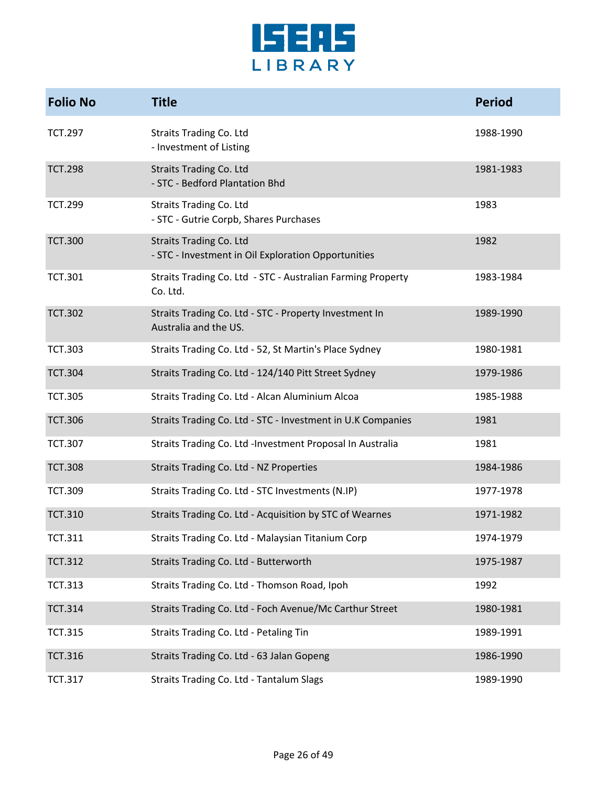

| <b>Folio No</b> | <b>Title</b>                                                                    | <b>Period</b> |
|-----------------|---------------------------------------------------------------------------------|---------------|
| <b>TCT.297</b>  | <b>Straits Trading Co. Ltd</b><br>- Investment of Listing                       | 1988-1990     |
| <b>TCT.298</b>  | <b>Straits Trading Co. Ltd</b><br>- STC - Bedford Plantation Bhd                | 1981-1983     |
| <b>TCT.299</b>  | <b>Straits Trading Co. Ltd</b><br>- STC - Gutrie Corpb, Shares Purchases        | 1983          |
| <b>TCT.300</b>  | Straits Trading Co. Ltd<br>- STC - Investment in Oil Exploration Opportunities  | 1982          |
| <b>TCT.301</b>  | Straits Trading Co. Ltd - STC - Australian Farming Property<br>Co. Ltd.         | 1983-1984     |
| <b>TCT.302</b>  | Straits Trading Co. Ltd - STC - Property Investment In<br>Australia and the US. | 1989-1990     |
| <b>TCT.303</b>  | Straits Trading Co. Ltd - 52, St Martin's Place Sydney                          | 1980-1981     |
| <b>TCT.304</b>  | Straits Trading Co. Ltd - 124/140 Pitt Street Sydney                            | 1979-1986     |
| <b>TCT.305</b>  | Straits Trading Co. Ltd - Alcan Aluminium Alcoa                                 | 1985-1988     |
| <b>TCT.306</b>  | Straits Trading Co. Ltd - STC - Investment in U.K Companies                     | 1981          |
| <b>TCT.307</b>  | Straits Trading Co. Ltd -Investment Proposal In Australia                       | 1981          |
| <b>TCT.308</b>  | Straits Trading Co. Ltd - NZ Properties                                         | 1984-1986     |
| <b>TCT.309</b>  | Straits Trading Co. Ltd - STC Investments (N.IP)                                | 1977-1978     |
| <b>TCT.310</b>  | Straits Trading Co. Ltd - Acquisition by STC of Wearnes                         | 1971-1982     |
| TCT.311         | Straits Trading Co. Ltd - Malaysian Titanium Corp                               | 1974-1979     |
| <b>TCT.312</b>  | Straits Trading Co. Ltd - Butterworth                                           | 1975-1987     |
| <b>TCT.313</b>  | Straits Trading Co. Ltd - Thomson Road, Ipoh                                    | 1992          |
| <b>TCT.314</b>  | Straits Trading Co. Ltd - Foch Avenue/Mc Carthur Street                         | 1980-1981     |
| <b>TCT.315</b>  | Straits Trading Co. Ltd - Petaling Tin                                          | 1989-1991     |
| <b>TCT.316</b>  | Straits Trading Co. Ltd - 63 Jalan Gopeng                                       | 1986-1990     |
| <b>TCT.317</b>  | Straits Trading Co. Ltd - Tantalum Slags                                        | 1989-1990     |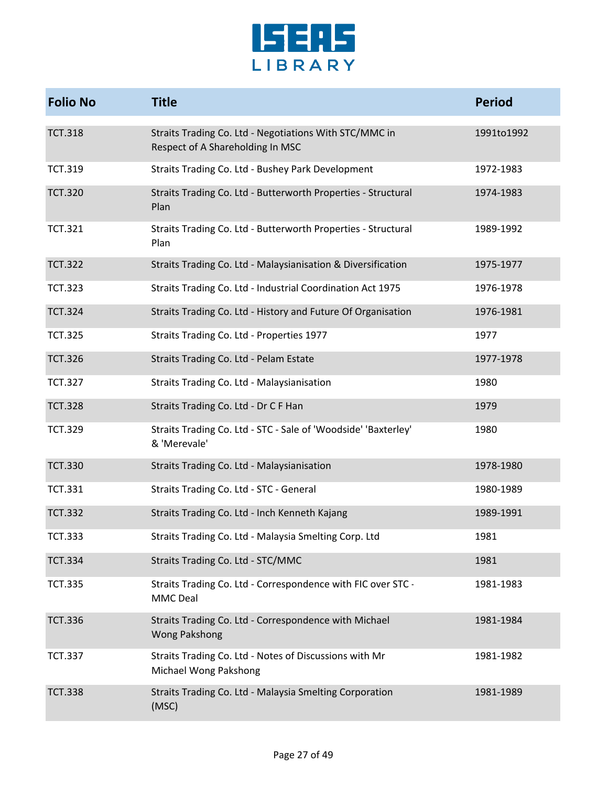

| <b>Folio No</b> | <b>Title</b>                                                                               | <b>Period</b> |
|-----------------|--------------------------------------------------------------------------------------------|---------------|
| <b>TCT.318</b>  | Straits Trading Co. Ltd - Negotiations With STC/MMC in<br>Respect of A Shareholding In MSC | 1991to1992    |
| <b>TCT.319</b>  | Straits Trading Co. Ltd - Bushey Park Development                                          | 1972-1983     |
| <b>TCT.320</b>  | Straits Trading Co. Ltd - Butterworth Properties - Structural<br>Plan                      | 1974-1983     |
| <b>TCT.321</b>  | Straits Trading Co. Ltd - Butterworth Properties - Structural<br>Plan                      | 1989-1992     |
| <b>TCT.322</b>  | Straits Trading Co. Ltd - Malaysianisation & Diversification                               | 1975-1977     |
| <b>TCT.323</b>  | Straits Trading Co. Ltd - Industrial Coordination Act 1975                                 | 1976-1978     |
| <b>TCT.324</b>  | Straits Trading Co. Ltd - History and Future Of Organisation                               | 1976-1981     |
| <b>TCT.325</b>  | Straits Trading Co. Ltd - Properties 1977                                                  | 1977          |
| <b>TCT.326</b>  | Straits Trading Co. Ltd - Pelam Estate                                                     | 1977-1978     |
| <b>TCT.327</b>  | Straits Trading Co. Ltd - Malaysianisation                                                 | 1980          |
| <b>TCT.328</b>  | Straits Trading Co. Ltd - Dr C F Han                                                       | 1979          |
| <b>TCT.329</b>  | Straits Trading Co. Ltd - STC - Sale of 'Woodside' 'Baxterley'<br>& 'Merevale'             | 1980          |
| <b>TCT.330</b>  | Straits Trading Co. Ltd - Malaysianisation                                                 | 1978-1980     |
| <b>TCT.331</b>  | Straits Trading Co. Ltd - STC - General                                                    | 1980-1989     |
| <b>TCT.332</b>  | Straits Trading Co. Ltd - Inch Kenneth Kajang                                              | 1989-1991     |
| <b>TCT.333</b>  | Straits Trading Co. Ltd - Malaysia Smelting Corp. Ltd                                      | 1981          |
| <b>TCT.334</b>  | Straits Trading Co. Ltd - STC/MMC                                                          | 1981          |
| <b>TCT.335</b>  | Straits Trading Co. Ltd - Correspondence with FIC over STC -<br><b>MMC Deal</b>            | 1981-1983     |
| <b>TCT.336</b>  | Straits Trading Co. Ltd - Correspondence with Michael<br><b>Wong Pakshong</b>              | 1981-1984     |
| <b>TCT.337</b>  | Straits Trading Co. Ltd - Notes of Discussions with Mr<br>Michael Wong Pakshong            | 1981-1982     |
| <b>TCT.338</b>  | Straits Trading Co. Ltd - Malaysia Smelting Corporation<br>(MSC)                           | 1981-1989     |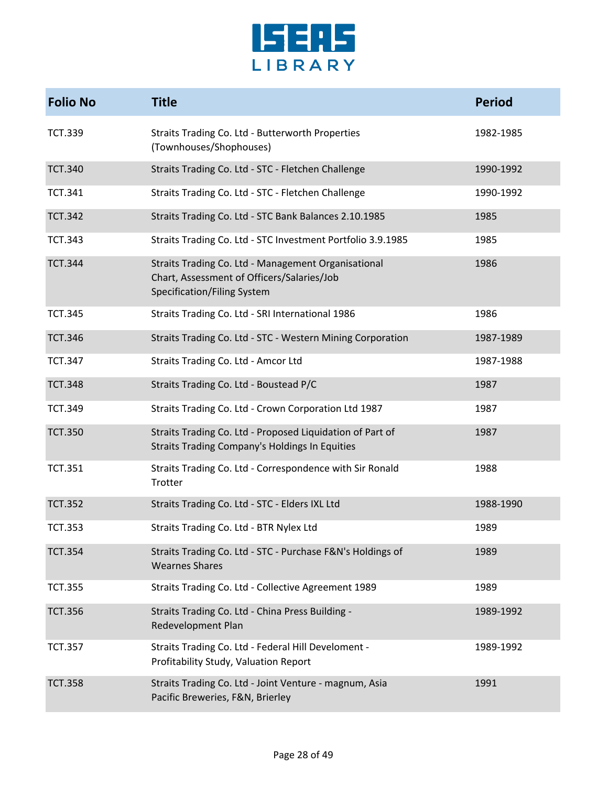

| <b>Folio No</b> | <b>Title</b>                                                                                                                     | <b>Period</b> |
|-----------------|----------------------------------------------------------------------------------------------------------------------------------|---------------|
| <b>TCT.339</b>  | Straits Trading Co. Ltd - Butterworth Properties<br>(Townhouses/Shophouses)                                                      | 1982-1985     |
| <b>TCT.340</b>  | Straits Trading Co. Ltd - STC - Fletchen Challenge                                                                               | 1990-1992     |
| <b>TCT.341</b>  | Straits Trading Co. Ltd - STC - Fletchen Challenge                                                                               | 1990-1992     |
| <b>TCT.342</b>  | Straits Trading Co. Ltd - STC Bank Balances 2.10.1985                                                                            | 1985          |
| <b>TCT.343</b>  | Straits Trading Co. Ltd - STC Investment Portfolio 3.9.1985                                                                      | 1985          |
| <b>TCT.344</b>  | Straits Trading Co. Ltd - Management Organisational<br>Chart, Assessment of Officers/Salaries/Job<br>Specification/Filing System | 1986          |
| <b>TCT.345</b>  | Straits Trading Co. Ltd - SRI International 1986                                                                                 | 1986          |
| <b>TCT.346</b>  | Straits Trading Co. Ltd - STC - Western Mining Corporation                                                                       | 1987-1989     |
| <b>TCT.347</b>  | Straits Trading Co. Ltd - Amcor Ltd                                                                                              | 1987-1988     |
| <b>TCT.348</b>  | Straits Trading Co. Ltd - Boustead P/C                                                                                           | 1987          |
| <b>TCT.349</b>  | Straits Trading Co. Ltd - Crown Corporation Ltd 1987                                                                             | 1987          |
| <b>TCT.350</b>  | Straits Trading Co. Ltd - Proposed Liquidation of Part of<br><b>Straits Trading Company's Holdings In Equities</b>               | 1987          |
| <b>TCT.351</b>  | Straits Trading Co. Ltd - Correspondence with Sir Ronald<br>Trotter                                                              | 1988          |
| <b>TCT.352</b>  | Straits Trading Co. Ltd - STC - Elders IXL Ltd                                                                                   | 1988-1990     |
| <b>TCT.353</b>  | Straits Trading Co. Ltd - BTR Nylex Ltd                                                                                          | 1989          |
| <b>TCT.354</b>  | Straits Trading Co. Ltd - STC - Purchase F&N's Holdings of<br><b>Wearnes Shares</b>                                              | 1989          |
| <b>TCT.355</b>  | Straits Trading Co. Ltd - Collective Agreement 1989                                                                              | 1989          |
| <b>TCT.356</b>  | Straits Trading Co. Ltd - China Press Building -<br>Redevelopment Plan                                                           | 1989-1992     |
| <b>TCT.357</b>  | Straits Trading Co. Ltd - Federal Hill Develoment -<br>Profitability Study, Valuation Report                                     | 1989-1992     |
| <b>TCT.358</b>  | Straits Trading Co. Ltd - Joint Venture - magnum, Asia<br>Pacific Breweries, F&N, Brierley                                       | 1991          |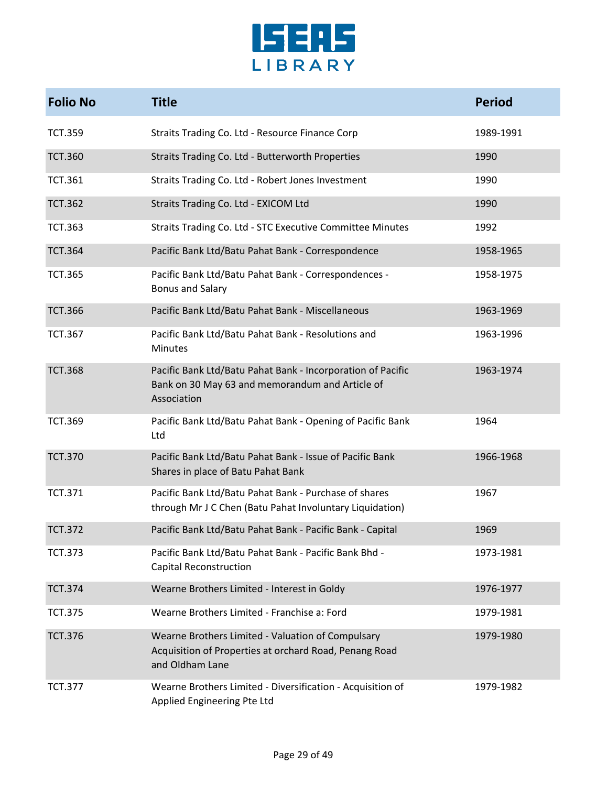

| <b>Folio No</b> | <b>Title</b>                                                                                                                   | <b>Period</b> |
|-----------------|--------------------------------------------------------------------------------------------------------------------------------|---------------|
| <b>TCT.359</b>  | Straits Trading Co. Ltd - Resource Finance Corp                                                                                | 1989-1991     |
| <b>TCT.360</b>  | Straits Trading Co. Ltd - Butterworth Properties                                                                               | 1990          |
| <b>TCT.361</b>  | Straits Trading Co. Ltd - Robert Jones Investment                                                                              | 1990          |
| <b>TCT.362</b>  | Straits Trading Co. Ltd - EXICOM Ltd                                                                                           | 1990          |
| <b>TCT.363</b>  | Straits Trading Co. Ltd - STC Executive Committee Minutes                                                                      | 1992          |
| <b>TCT.364</b>  | Pacific Bank Ltd/Batu Pahat Bank - Correspondence                                                                              | 1958-1965     |
| <b>TCT.365</b>  | Pacific Bank Ltd/Batu Pahat Bank - Correspondences -<br><b>Bonus and Salary</b>                                                | 1958-1975     |
| <b>TCT.366</b>  | Pacific Bank Ltd/Batu Pahat Bank - Miscellaneous                                                                               | 1963-1969     |
| <b>TCT.367</b>  | Pacific Bank Ltd/Batu Pahat Bank - Resolutions and<br>Minutes                                                                  | 1963-1996     |
| <b>TCT.368</b>  | Pacific Bank Ltd/Batu Pahat Bank - Incorporation of Pacific<br>Bank on 30 May 63 and memorandum and Article of<br>Association  | 1963-1974     |
| <b>TCT.369</b>  | Pacific Bank Ltd/Batu Pahat Bank - Opening of Pacific Bank<br>Ltd                                                              | 1964          |
| <b>TCT.370</b>  | Pacific Bank Ltd/Batu Pahat Bank - Issue of Pacific Bank<br>Shares in place of Batu Pahat Bank                                 | 1966-1968     |
| <b>TCT.371</b>  | Pacific Bank Ltd/Batu Pahat Bank - Purchase of shares<br>through Mr J C Chen (Batu Pahat Involuntary Liquidation)              | 1967          |
| <b>TCT.372</b>  | Pacific Bank Ltd/Batu Pahat Bank - Pacific Bank - Capital                                                                      | 1969          |
| <b>TCT.373</b>  | Pacific Bank Ltd/Batu Pahat Bank - Pacific Bank Bhd -<br><b>Capital Reconstruction</b>                                         | 1973-1981     |
| <b>TCT.374</b>  | Wearne Brothers Limited - Interest in Goldy                                                                                    | 1976-1977     |
| <b>TCT.375</b>  | Wearne Brothers Limited - Franchise a: Ford                                                                                    | 1979-1981     |
| <b>TCT.376</b>  | Wearne Brothers Limited - Valuation of Compulsary<br>Acquisition of Properties at orchard Road, Penang Road<br>and Oldham Lane | 1979-1980     |
| <b>TCT.377</b>  | Wearne Brothers Limited - Diversification - Acquisition of<br>Applied Engineering Pte Ltd                                      | 1979-1982     |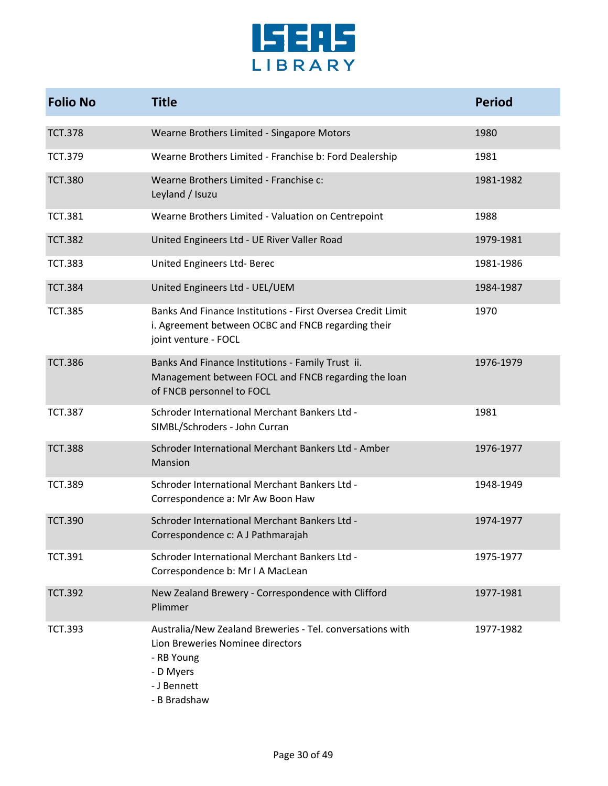

| <b>Folio No</b> | <b>Title</b>                                                                                                                                            | <b>Period</b> |
|-----------------|---------------------------------------------------------------------------------------------------------------------------------------------------------|---------------|
| <b>TCT.378</b>  | Wearne Brothers Limited - Singapore Motors                                                                                                              | 1980          |
| <b>TCT.379</b>  | Wearne Brothers Limited - Franchise b: Ford Dealership                                                                                                  | 1981          |
| <b>TCT.380</b>  | Wearne Brothers Limited - Franchise c:<br>Leyland / Isuzu                                                                                               | 1981-1982     |
| <b>TCT.381</b>  | Wearne Brothers Limited - Valuation on Centrepoint                                                                                                      | 1988          |
| <b>TCT.382</b>  | United Engineers Ltd - UE River Valler Road                                                                                                             | 1979-1981     |
| <b>TCT.383</b>  | United Engineers Ltd- Berec                                                                                                                             | 1981-1986     |
| <b>TCT.384</b>  | United Engineers Ltd - UEL/UEM                                                                                                                          | 1984-1987     |
| <b>TCT.385</b>  | Banks And Finance Institutions - First Oversea Credit Limit<br>i. Agreement between OCBC and FNCB regarding their<br>joint venture - FOCL               | 1970          |
| <b>TCT.386</b>  | Banks And Finance Institutions - Family Trust ii.<br>Management between FOCL and FNCB regarding the loan<br>of FNCB personnel to FOCL                   | 1976-1979     |
| <b>TCT.387</b>  | Schroder International Merchant Bankers Ltd -<br>SIMBL/Schroders - John Curran                                                                          | 1981          |
| <b>TCT.388</b>  | Schroder International Merchant Bankers Ltd - Amber<br>Mansion                                                                                          | 1976-1977     |
| <b>TCT.389</b>  | Schroder International Merchant Bankers Ltd -<br>Correspondence a: Mr Aw Boon Haw                                                                       | 1948-1949     |
| <b>TCT.390</b>  | Schroder International Merchant Bankers Ltd -<br>Correspondence c: A J Pathmarajah                                                                      | 1974-1977     |
| <b>TCT.391</b>  | Schroder International Merchant Bankers Ltd -<br>Correspondence b: Mr I A MacLean                                                                       | 1975-1977     |
| <b>TCT.392</b>  | New Zealand Brewery - Correspondence with Clifford<br>Plimmer                                                                                           | 1977-1981     |
| <b>TCT.393</b>  | Australia/New Zealand Breweries - Tel. conversations with<br>Lion Breweries Nominee directors<br>- RB Young<br>- D Myers<br>- J Bennett<br>- B Bradshaw | 1977-1982     |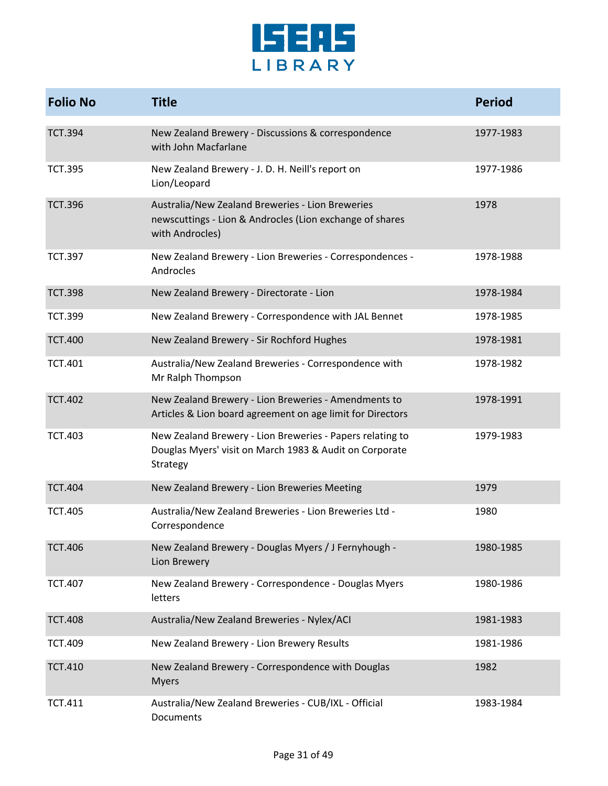

| <b>Folio No</b> | <b>Title</b>                                                                                                                     | <b>Period</b> |
|-----------------|----------------------------------------------------------------------------------------------------------------------------------|---------------|
| <b>TCT.394</b>  | New Zealand Brewery - Discussions & correspondence<br>with John Macfarlane                                                       | 1977-1983     |
| <b>TCT.395</b>  | New Zealand Brewery - J. D. H. Neill's report on<br>Lion/Leopard                                                                 | 1977-1986     |
| <b>TCT.396</b>  | Australia/New Zealand Breweries - Lion Breweries<br>newscuttings - Lion & Androcles (Lion exchange of shares<br>with Androcles)  | 1978          |
| <b>TCT.397</b>  | New Zealand Brewery - Lion Breweries - Correspondences -<br>Androcles                                                            | 1978-1988     |
| <b>TCT.398</b>  | New Zealand Brewery - Directorate - Lion                                                                                         | 1978-1984     |
| <b>TCT.399</b>  | New Zealand Brewery - Correspondence with JAL Bennet                                                                             | 1978-1985     |
| <b>TCT.400</b>  | New Zealand Brewery - Sir Rochford Hughes                                                                                        | 1978-1981     |
| <b>TCT.401</b>  | Australia/New Zealand Breweries - Correspondence with<br>Mr Ralph Thompson                                                       | 1978-1982     |
| <b>TCT.402</b>  | New Zealand Brewery - Lion Breweries - Amendments to<br>Articles & Lion board agreement on age limit for Directors               | 1978-1991     |
| <b>TCT.403</b>  | New Zealand Brewery - Lion Breweries - Papers relating to<br>Douglas Myers' visit on March 1983 & Audit on Corporate<br>Strategy | 1979-1983     |
| <b>TCT.404</b>  | New Zealand Brewery - Lion Breweries Meeting                                                                                     | 1979          |
| <b>TCT.405</b>  | Australia/New Zealand Breweries - Lion Breweries Ltd -<br>Correspondence                                                         | 1980          |
| <b>TCT.406</b>  | New Zealand Brewery - Douglas Myers / J Fernyhough -<br>Lion Brewery                                                             | 1980-1985     |
| <b>TCT.407</b>  | New Zealand Brewery - Correspondence - Douglas Myers<br>letters                                                                  | 1980-1986     |
| <b>TCT.408</b>  | Australia/New Zealand Breweries - Nylex/ACI                                                                                      | 1981-1983     |
| <b>TCT.409</b>  | New Zealand Brewery - Lion Brewery Results                                                                                       | 1981-1986     |
| <b>TCT.410</b>  | New Zealand Brewery - Correspondence with Douglas<br><b>Myers</b>                                                                | 1982          |
| <b>TCT.411</b>  | Australia/New Zealand Breweries - CUB/IXL - Official<br>Documents                                                                | 1983-1984     |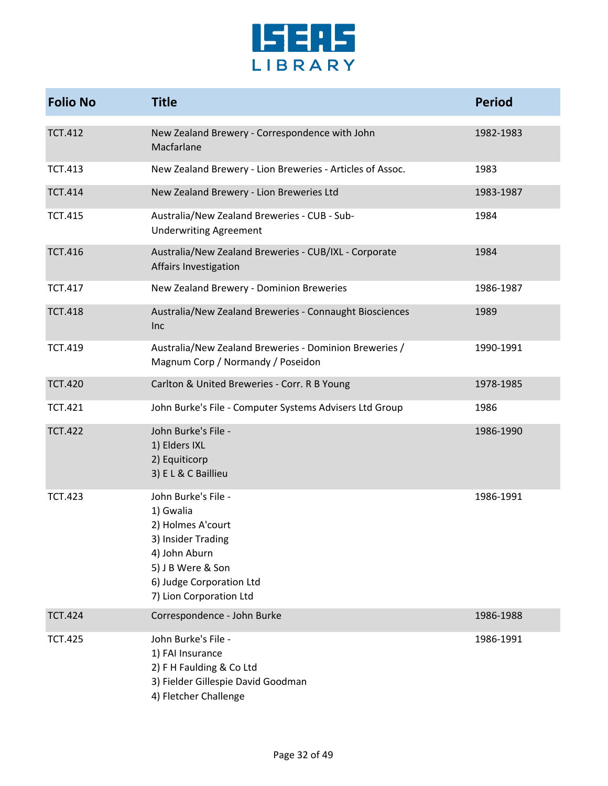

| <b>Folio No</b> | <b>Title</b>                                                                                                                                                             | <b>Period</b> |
|-----------------|--------------------------------------------------------------------------------------------------------------------------------------------------------------------------|---------------|
| <b>TCT.412</b>  | New Zealand Brewery - Correspondence with John<br>Macfarlane                                                                                                             | 1982-1983     |
| <b>TCT.413</b>  | New Zealand Brewery - Lion Breweries - Articles of Assoc.                                                                                                                | 1983          |
| <b>TCT.414</b>  | New Zealand Brewery - Lion Breweries Ltd                                                                                                                                 | 1983-1987     |
| <b>TCT.415</b>  | Australia/New Zealand Breweries - CUB - Sub-<br><b>Underwriting Agreement</b>                                                                                            | 1984          |
| <b>TCT.416</b>  | Australia/New Zealand Breweries - CUB/IXL - Corporate<br>Affairs Investigation                                                                                           | 1984          |
| <b>TCT.417</b>  | New Zealand Brewery - Dominion Breweries                                                                                                                                 | 1986-1987     |
| <b>TCT.418</b>  | Australia/New Zealand Breweries - Connaught Biosciences<br>Inc                                                                                                           | 1989          |
| <b>TCT.419</b>  | Australia/New Zealand Breweries - Dominion Breweries /<br>Magnum Corp / Normandy / Poseidon                                                                              | 1990-1991     |
| <b>TCT.420</b>  | Carlton & United Breweries - Corr. R B Young                                                                                                                             | 1978-1985     |
| <b>TCT.421</b>  | John Burke's File - Computer Systems Advisers Ltd Group                                                                                                                  | 1986          |
| <b>TCT.422</b>  | John Burke's File -<br>1) Elders IXL<br>2) Equiticorp<br>3) EL & C Baillieu                                                                                              | 1986-1990     |
| <b>TCT.423</b>  | John Burke's File -<br>1) Gwalia<br>2) Holmes A'court<br>3) Insider Trading<br>4) John Aburn<br>5) J B Were & Son<br>6) Judge Corporation Ltd<br>7) Lion Corporation Ltd | 1986-1991     |
| <b>TCT.424</b>  | Correspondence - John Burke                                                                                                                                              | 1986-1988     |
| <b>TCT.425</b>  | John Burke's File -<br>1) FAI Insurance<br>2) F H Faulding & Co Ltd<br>3) Fielder Gillespie David Goodman<br>4) Fletcher Challenge                                       | 1986-1991     |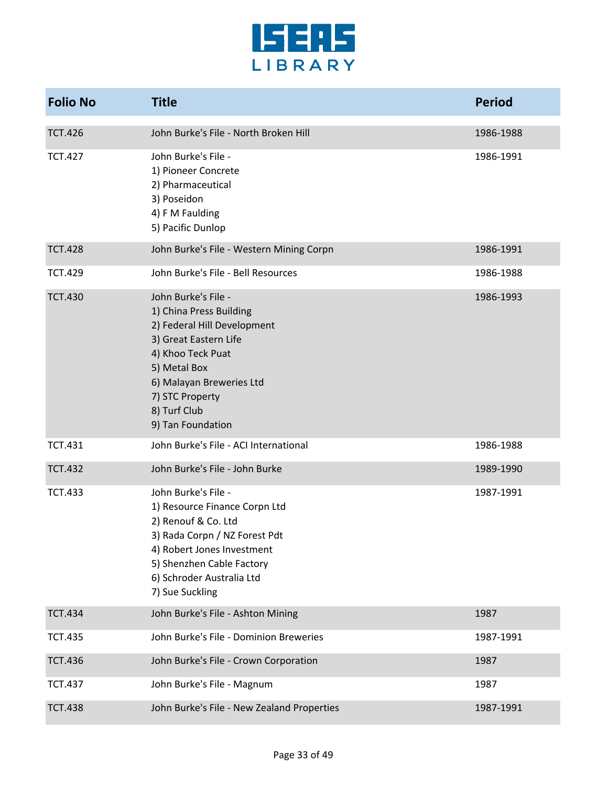

| <b>Folio No</b> | <b>Title</b>                                                                                                                                                                                                                    | <b>Period</b> |
|-----------------|---------------------------------------------------------------------------------------------------------------------------------------------------------------------------------------------------------------------------------|---------------|
| <b>TCT.426</b>  | John Burke's File - North Broken Hill                                                                                                                                                                                           | 1986-1988     |
| <b>TCT.427</b>  | John Burke's File -<br>1) Pioneer Concrete<br>2) Pharmaceutical<br>3) Poseidon<br>4) F M Faulding<br>5) Pacific Dunlop                                                                                                          | 1986-1991     |
| <b>TCT.428</b>  | John Burke's File - Western Mining Corpn                                                                                                                                                                                        | 1986-1991     |
| <b>TCT.429</b>  | John Burke's File - Bell Resources                                                                                                                                                                                              | 1986-1988     |
| <b>TCT.430</b>  | John Burke's File -<br>1) China Press Building<br>2) Federal Hill Development<br>3) Great Eastern Life<br>4) Khoo Teck Puat<br>5) Metal Box<br>6) Malayan Breweries Ltd<br>7) STC Property<br>8) Turf Club<br>9) Tan Foundation | 1986-1993     |
| <b>TCT.431</b>  | John Burke's File - ACI International                                                                                                                                                                                           | 1986-1988     |
| <b>TCT.432</b>  | John Burke's File - John Burke                                                                                                                                                                                                  | 1989-1990     |
| <b>TCT.433</b>  | John Burke's File -<br>1) Resource Finance Corpn Ltd<br>2) Renouf & Co. Ltd<br>3) Rada Corpn / NZ Forest Pdt<br>4) Robert Jones Investment<br>5) Shenzhen Cable Factory<br>6) Schroder Australia Ltd<br>7) Sue Suckling         | 1987-1991     |
| <b>TCT.434</b>  | John Burke's File - Ashton Mining                                                                                                                                                                                               | 1987          |
| <b>TCT.435</b>  | John Burke's File - Dominion Breweries                                                                                                                                                                                          | 1987-1991     |
| <b>TCT.436</b>  | John Burke's File - Crown Corporation                                                                                                                                                                                           | 1987          |
| <b>TCT.437</b>  | John Burke's File - Magnum                                                                                                                                                                                                      | 1987          |
| <b>TCT.438</b>  | John Burke's File - New Zealand Properties                                                                                                                                                                                      | 1987-1991     |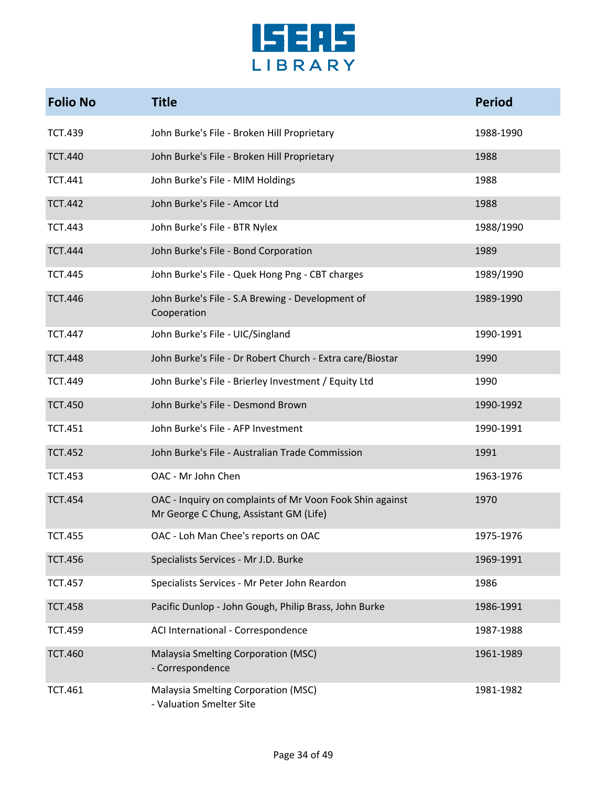

| <b>Folio No</b> | <b>Title</b>                                                                                       | <b>Period</b> |
|-----------------|----------------------------------------------------------------------------------------------------|---------------|
| <b>TCT.439</b>  | John Burke's File - Broken Hill Proprietary                                                        | 1988-1990     |
| <b>TCT.440</b>  | John Burke's File - Broken Hill Proprietary                                                        | 1988          |
| <b>TCT.441</b>  | John Burke's File - MIM Holdings                                                                   | 1988          |
| <b>TCT.442</b>  | John Burke's File - Amcor Ltd                                                                      | 1988          |
| <b>TCT.443</b>  | John Burke's File - BTR Nylex                                                                      | 1988/1990     |
| <b>TCT.444</b>  | John Burke's File - Bond Corporation                                                               | 1989          |
| <b>TCT.445</b>  | John Burke's File - Quek Hong Png - CBT charges                                                    | 1989/1990     |
| <b>TCT.446</b>  | John Burke's File - S.A Brewing - Development of<br>Cooperation                                    | 1989-1990     |
| <b>TCT.447</b>  | John Burke's File - UIC/Singland                                                                   | 1990-1991     |
| <b>TCT.448</b>  | John Burke's File - Dr Robert Church - Extra care/Biostar                                          | 1990          |
| <b>TCT.449</b>  | John Burke's File - Brierley Investment / Equity Ltd                                               | 1990          |
| <b>TCT.450</b>  | John Burke's File - Desmond Brown                                                                  | 1990-1992     |
| <b>TCT.451</b>  | John Burke's File - AFP Investment                                                                 | 1990-1991     |
| <b>TCT.452</b>  | John Burke's File - Australian Trade Commission                                                    | 1991          |
| <b>TCT.453</b>  | OAC - Mr John Chen                                                                                 | 1963-1976     |
| <b>TCT.454</b>  | OAC - Inquiry on complaints of Mr Voon Fook Shin against<br>Mr George C Chung, Assistant GM (Life) | 1970          |
| TCT.455         | OAC - Loh Man Chee's reports on OAC                                                                | 1975-1976     |
| <b>TCT.456</b>  | Specialists Services - Mr J.D. Burke                                                               | 1969-1991     |
| <b>TCT.457</b>  | Specialists Services - Mr Peter John Reardon                                                       | 1986          |
| <b>TCT.458</b>  | Pacific Dunlop - John Gough, Philip Brass, John Burke                                              | 1986-1991     |
| <b>TCT.459</b>  | ACI International - Correspondence                                                                 | 1987-1988     |
| <b>TCT.460</b>  | Malaysia Smelting Corporation (MSC)<br>- Correspondence                                            | 1961-1989     |
| <b>TCT.461</b>  | Malaysia Smelting Corporation (MSC)<br>- Valuation Smelter Site                                    | 1981-1982     |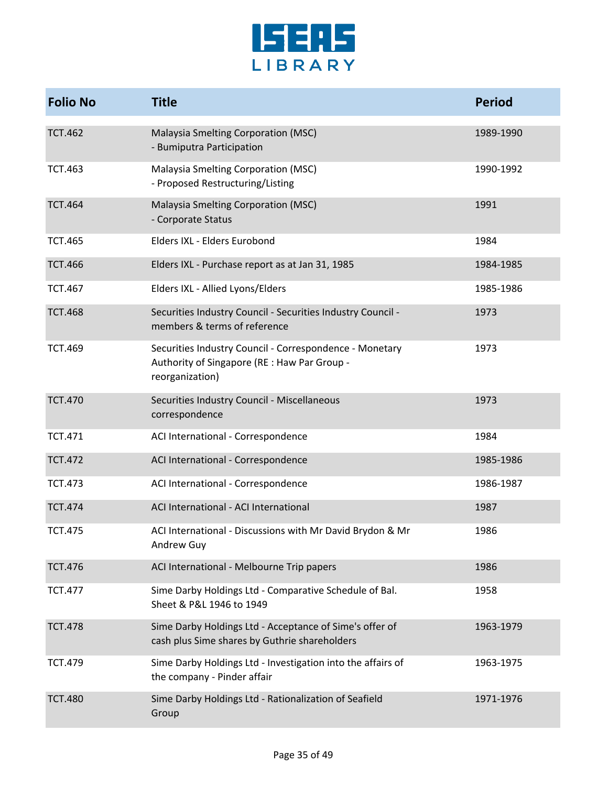

| <b>Folio No</b> | <b>Title</b>                                                                                                               | <b>Period</b> |
|-----------------|----------------------------------------------------------------------------------------------------------------------------|---------------|
| <b>TCT.462</b>  | Malaysia Smelting Corporation (MSC)<br>- Bumiputra Participation                                                           | 1989-1990     |
| <b>TCT.463</b>  | Malaysia Smelting Corporation (MSC)<br>- Proposed Restructuring/Listing                                                    | 1990-1992     |
| <b>TCT.464</b>  | Malaysia Smelting Corporation (MSC)<br>- Corporate Status                                                                  | 1991          |
| <b>TCT.465</b>  | Elders IXL - Elders Eurobond                                                                                               | 1984          |
| <b>TCT.466</b>  | Elders IXL - Purchase report as at Jan 31, 1985                                                                            | 1984-1985     |
| <b>TCT.467</b>  | Elders IXL - Allied Lyons/Elders                                                                                           | 1985-1986     |
| <b>TCT.468</b>  | Securities Industry Council - Securities Industry Council -<br>members & terms of reference                                | 1973          |
| <b>TCT.469</b>  | Securities Industry Council - Correspondence - Monetary<br>Authority of Singapore (RE : Haw Par Group -<br>reorganization) | 1973          |
| <b>TCT.470</b>  | Securities Industry Council - Miscellaneous<br>correspondence                                                              | 1973          |
| <b>TCT.471</b>  | ACI International - Correspondence                                                                                         | 1984          |
| <b>TCT.472</b>  | ACI International - Correspondence                                                                                         | 1985-1986     |
| <b>TCT.473</b>  | ACI International - Correspondence                                                                                         | 1986-1987     |
| <b>TCT.474</b>  | ACI International - ACI International                                                                                      | 1987          |
| <b>TCT.475</b>  | ACI International - Discussions with Mr David Brydon & Mr<br>Andrew Guy                                                    | 1986          |
| <b>TCT.476</b>  | ACI International - Melbourne Trip papers                                                                                  | 1986          |
| <b>TCT.477</b>  | Sime Darby Holdings Ltd - Comparative Schedule of Bal.<br>Sheet & P&L 1946 to 1949                                         | 1958          |
| <b>TCT.478</b>  | Sime Darby Holdings Ltd - Acceptance of Sime's offer of<br>cash plus Sime shares by Guthrie shareholders                   | 1963-1979     |
| <b>TCT.479</b>  | Sime Darby Holdings Ltd - Investigation into the affairs of<br>the company - Pinder affair                                 | 1963-1975     |
| <b>TCT.480</b>  | Sime Darby Holdings Ltd - Rationalization of Seafield<br>Group                                                             | 1971-1976     |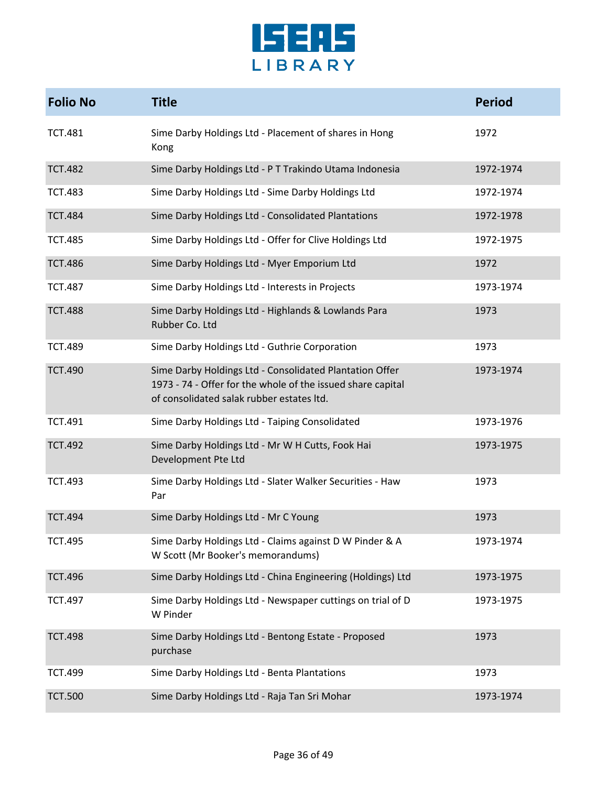

| <b>Folio No</b> | <b>Title</b>                                                                                                                                                        | <b>Period</b> |
|-----------------|---------------------------------------------------------------------------------------------------------------------------------------------------------------------|---------------|
| <b>TCT.481</b>  | Sime Darby Holdings Ltd - Placement of shares in Hong<br>Kong                                                                                                       | 1972          |
| <b>TCT.482</b>  | Sime Darby Holdings Ltd - P T Trakindo Utama Indonesia                                                                                                              | 1972-1974     |
| <b>TCT.483</b>  | Sime Darby Holdings Ltd - Sime Darby Holdings Ltd                                                                                                                   | 1972-1974     |
| <b>TCT.484</b>  | Sime Darby Holdings Ltd - Consolidated Plantations                                                                                                                  | 1972-1978     |
| <b>TCT.485</b>  | Sime Darby Holdings Ltd - Offer for Clive Holdings Ltd                                                                                                              | 1972-1975     |
| <b>TCT.486</b>  | Sime Darby Holdings Ltd - Myer Emporium Ltd                                                                                                                         | 1972          |
| <b>TCT.487</b>  | Sime Darby Holdings Ltd - Interests in Projects                                                                                                                     | 1973-1974     |
| <b>TCT.488</b>  | Sime Darby Holdings Ltd - Highlands & Lowlands Para<br>Rubber Co. Ltd                                                                                               | 1973          |
| <b>TCT.489</b>  | Sime Darby Holdings Ltd - Guthrie Corporation                                                                                                                       | 1973          |
| <b>TCT.490</b>  | Sime Darby Holdings Ltd - Consolidated Plantation Offer<br>1973 - 74 - Offer for the whole of the issued share capital<br>of consolidated salak rubber estates ltd. | 1973-1974     |
| <b>TCT.491</b>  | Sime Darby Holdings Ltd - Taiping Consolidated                                                                                                                      | 1973-1976     |
| <b>TCT.492</b>  | Sime Darby Holdings Ltd - Mr W H Cutts, Fook Hai<br>Development Pte Ltd                                                                                             | 1973-1975     |
| <b>TCT.493</b>  | Sime Darby Holdings Ltd - Slater Walker Securities - Haw<br>Par                                                                                                     | 1973          |
| <b>TCT.494</b>  | Sime Darby Holdings Ltd - Mr C Young                                                                                                                                | 1973          |
| <b>TCT.495</b>  | Sime Darby Holdings Ltd - Claims against D W Pinder & A<br>W Scott (Mr Booker's memorandums)                                                                        | 1973-1974     |
| <b>TCT.496</b>  | Sime Darby Holdings Ltd - China Engineering (Holdings) Ltd                                                                                                          | 1973-1975     |
| <b>TCT.497</b>  | Sime Darby Holdings Ltd - Newspaper cuttings on trial of D<br>W Pinder                                                                                              | 1973-1975     |
| <b>TCT.498</b>  | Sime Darby Holdings Ltd - Bentong Estate - Proposed<br>purchase                                                                                                     | 1973          |
| <b>TCT.499</b>  | Sime Darby Holdings Ltd - Benta Plantations                                                                                                                         | 1973          |
| <b>TCT.500</b>  | Sime Darby Holdings Ltd - Raja Tan Sri Mohar                                                                                                                        | 1973-1974     |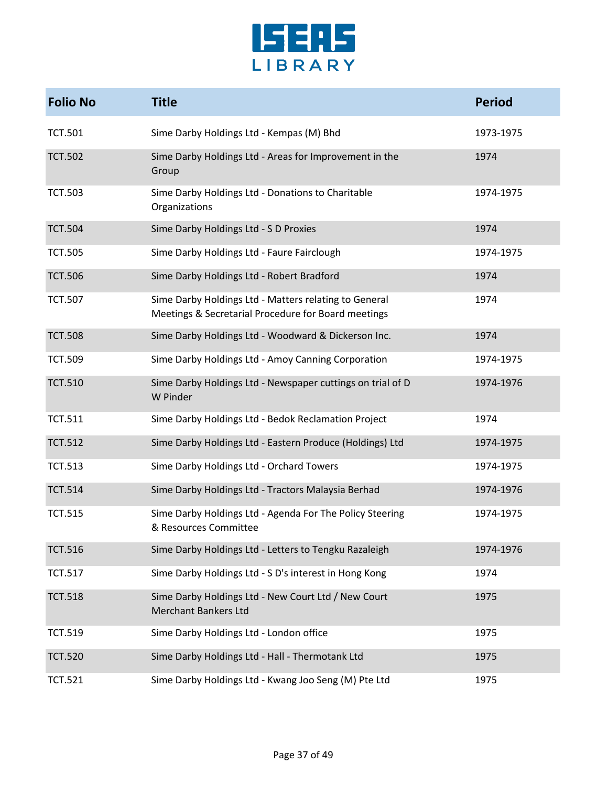

| <b>Folio No</b> | <b>Title</b>                                                                                                 | <b>Period</b> |
|-----------------|--------------------------------------------------------------------------------------------------------------|---------------|
| <b>TCT.501</b>  | Sime Darby Holdings Ltd - Kempas (M) Bhd                                                                     | 1973-1975     |
| <b>TCT.502</b>  | Sime Darby Holdings Ltd - Areas for Improvement in the<br>Group                                              | 1974          |
| <b>TCT.503</b>  | Sime Darby Holdings Ltd - Donations to Charitable<br>Organizations                                           | 1974-1975     |
| <b>TCT.504</b>  | Sime Darby Holdings Ltd - S D Proxies                                                                        | 1974          |
| <b>TCT.505</b>  | Sime Darby Holdings Ltd - Faure Fairclough                                                                   | 1974-1975     |
| <b>TCT.506</b>  | Sime Darby Holdings Ltd - Robert Bradford                                                                    | 1974          |
| <b>TCT.507</b>  | Sime Darby Holdings Ltd - Matters relating to General<br>Meetings & Secretarial Procedure for Board meetings | 1974          |
| <b>TCT.508</b>  | Sime Darby Holdings Ltd - Woodward & Dickerson Inc.                                                          | 1974          |
| <b>TCT.509</b>  | Sime Darby Holdings Ltd - Amoy Canning Corporation                                                           | 1974-1975     |
| <b>TCT.510</b>  | Sime Darby Holdings Ltd - Newspaper cuttings on trial of D<br>W Pinder                                       | 1974-1976     |
| <b>TCT.511</b>  | Sime Darby Holdings Ltd - Bedok Reclamation Project                                                          | 1974          |
| <b>TCT.512</b>  | Sime Darby Holdings Ltd - Eastern Produce (Holdings) Ltd                                                     | 1974-1975     |
| <b>TCT.513</b>  | Sime Darby Holdings Ltd - Orchard Towers                                                                     | 1974-1975     |
| <b>TCT.514</b>  | Sime Darby Holdings Ltd - Tractors Malaysia Berhad                                                           | 1974-1976     |
| <b>TCT.515</b>  | Sime Darby Holdings Ltd - Agenda For The Policy Steering<br>& Resources Committee                            | 1974-1975     |
| <b>TCT.516</b>  | Sime Darby Holdings Ltd - Letters to Tengku Razaleigh                                                        | 1974-1976     |
| <b>TCT.517</b>  | Sime Darby Holdings Ltd - S D's interest in Hong Kong                                                        | 1974          |
| <b>TCT.518</b>  | Sime Darby Holdings Ltd - New Court Ltd / New Court<br><b>Merchant Bankers Ltd</b>                           | 1975          |
| <b>TCT.519</b>  | Sime Darby Holdings Ltd - London office                                                                      | 1975          |
| <b>TCT.520</b>  | Sime Darby Holdings Ltd - Hall - Thermotank Ltd                                                              | 1975          |
| <b>TCT.521</b>  | Sime Darby Holdings Ltd - Kwang Joo Seng (M) Pte Ltd                                                         | 1975          |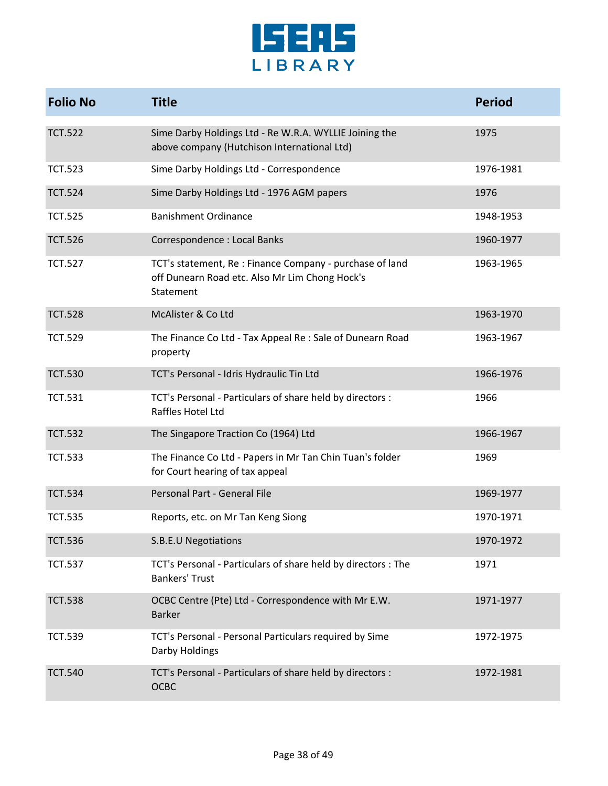

| <b>Folio No</b> | <b>Title</b>                                                                                                            | <b>Period</b> |
|-----------------|-------------------------------------------------------------------------------------------------------------------------|---------------|
| <b>TCT.522</b>  | Sime Darby Holdings Ltd - Re W.R.A. WYLLIE Joining the<br>above company (Hutchison International Ltd)                   | 1975          |
| <b>TCT.523</b>  | Sime Darby Holdings Ltd - Correspondence                                                                                | 1976-1981     |
| <b>TCT.524</b>  | Sime Darby Holdings Ltd - 1976 AGM papers                                                                               | 1976          |
| <b>TCT.525</b>  | <b>Banishment Ordinance</b>                                                                                             | 1948-1953     |
| <b>TCT.526</b>  | Correspondence : Local Banks                                                                                            | 1960-1977     |
| <b>TCT.527</b>  | TCT's statement, Re : Finance Company - purchase of land<br>off Dunearn Road etc. Also Mr Lim Chong Hock's<br>Statement | 1963-1965     |
| <b>TCT.528</b>  | McAlister & Co Ltd                                                                                                      | 1963-1970     |
| <b>TCT.529</b>  | The Finance Co Ltd - Tax Appeal Re : Sale of Dunearn Road<br>property                                                   | 1963-1967     |
| <b>TCT.530</b>  | TCT's Personal - Idris Hydraulic Tin Ltd                                                                                | 1966-1976     |
| <b>TCT.531</b>  | TCT's Personal - Particulars of share held by directors :<br>Raffles Hotel Ltd                                          | 1966          |
| <b>TCT.532</b>  | The Singapore Traction Co (1964) Ltd                                                                                    | 1966-1967     |
| <b>TCT.533</b>  | The Finance Co Ltd - Papers in Mr Tan Chin Tuan's folder<br>for Court hearing of tax appeal                             | 1969          |
| <b>TCT.534</b>  | Personal Part - General File                                                                                            | 1969-1977     |
| <b>TCT.535</b>  | Reports, etc. on Mr Tan Keng Siong                                                                                      | 1970-1971     |
| <b>TCT.536</b>  | S.B.E.U Negotiations                                                                                                    | 1970-1972     |
| <b>TCT.537</b>  | TCT's Personal - Particulars of share held by directors : The<br><b>Bankers' Trust</b>                                  | 1971          |
| <b>TCT.538</b>  | OCBC Centre (Pte) Ltd - Correspondence with Mr E.W.<br><b>Barker</b>                                                    | 1971-1977     |
| <b>TCT.539</b>  | TCT's Personal - Personal Particulars required by Sime<br>Darby Holdings                                                | 1972-1975     |
| <b>TCT.540</b>  | TCT's Personal - Particulars of share held by directors :<br><b>OCBC</b>                                                | 1972-1981     |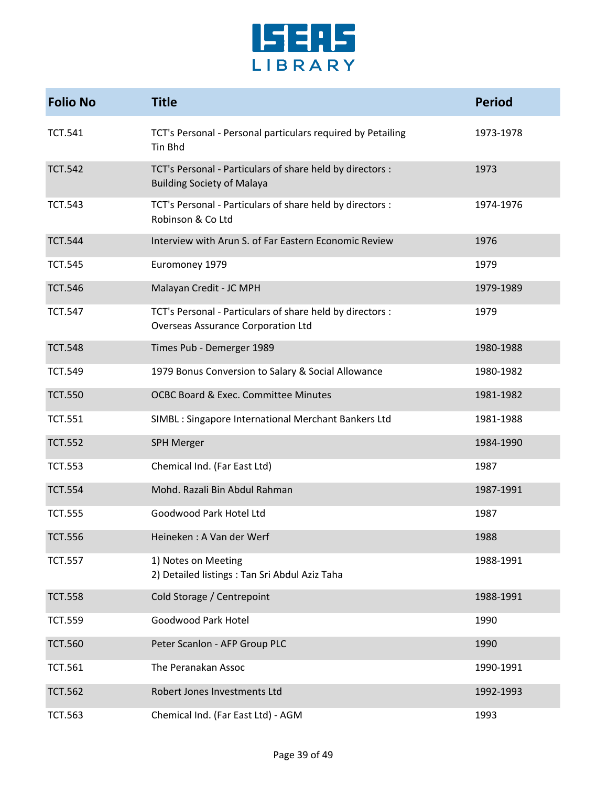

| <b>Folio No</b> | <b>Title</b>                                                                                           | <b>Period</b> |
|-----------------|--------------------------------------------------------------------------------------------------------|---------------|
| <b>TCT.541</b>  | TCT's Personal - Personal particulars required by Petailing<br>Tin Bhd                                 | 1973-1978     |
| <b>TCT.542</b>  | TCT's Personal - Particulars of share held by directors :<br><b>Building Society of Malaya</b>         | 1973          |
| <b>TCT.543</b>  | TCT's Personal - Particulars of share held by directors :<br>Robinson & Co Ltd                         | 1974-1976     |
| <b>TCT.544</b>  | Interview with Arun S. of Far Eastern Economic Review                                                  | 1976          |
| <b>TCT.545</b>  | Euromoney 1979                                                                                         | 1979          |
| <b>TCT.546</b>  | Malayan Credit - JC MPH                                                                                | 1979-1989     |
| <b>TCT.547</b>  | TCT's Personal - Particulars of share held by directors :<br><b>Overseas Assurance Corporation Ltd</b> | 1979          |
| <b>TCT.548</b>  | Times Pub - Demerger 1989                                                                              | 1980-1988     |
| <b>TCT.549</b>  | 1979 Bonus Conversion to Salary & Social Allowance                                                     | 1980-1982     |
| <b>TCT.550</b>  | <b>OCBC Board &amp; Exec. Committee Minutes</b>                                                        | 1981-1982     |
| <b>TCT.551</b>  | SIMBL : Singapore International Merchant Bankers Ltd                                                   | 1981-1988     |
| <b>TCT.552</b>  | <b>SPH Merger</b>                                                                                      | 1984-1990     |
| <b>TCT.553</b>  | Chemical Ind. (Far East Ltd)                                                                           | 1987          |
| <b>TCT.554</b>  | Mohd. Razali Bin Abdul Rahman                                                                          | 1987-1991     |
| <b>TCT.555</b>  | Goodwood Park Hotel Ltd                                                                                | 1987          |
| <b>TCT.556</b>  | Heineken: A Van der Werf                                                                               | 1988          |
| <b>TCT.557</b>  | 1) Notes on Meeting<br>2) Detailed listings: Tan Sri Abdul Aziz Taha                                   | 1988-1991     |
| <b>TCT.558</b>  | Cold Storage / Centrepoint                                                                             | 1988-1991     |
| <b>TCT.559</b>  | Goodwood Park Hotel                                                                                    | 1990          |
| <b>TCT.560</b>  | Peter Scanlon - AFP Group PLC                                                                          | 1990          |
| <b>TCT.561</b>  | The Peranakan Assoc                                                                                    | 1990-1991     |
| <b>TCT.562</b>  | Robert Jones Investments Ltd                                                                           | 1992-1993     |
| <b>TCT.563</b>  | Chemical Ind. (Far East Ltd) - AGM                                                                     | 1993          |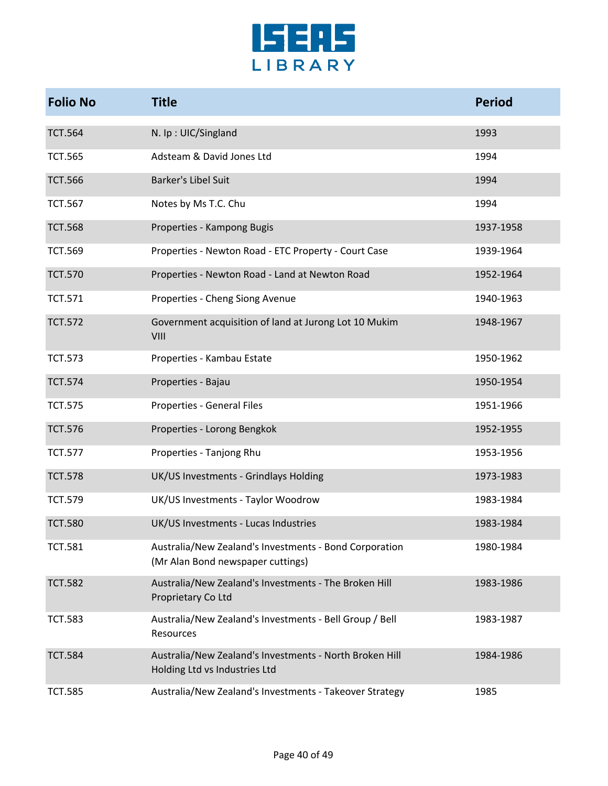

| <b>Folio No</b> | <b>Title</b>                                                                                | <b>Period</b> |
|-----------------|---------------------------------------------------------------------------------------------|---------------|
| <b>TCT.564</b>  | N. Ip: UIC/Singland                                                                         | 1993          |
| <b>TCT.565</b>  | Adsteam & David Jones Ltd                                                                   | 1994          |
| <b>TCT.566</b>  | Barker's Libel Suit                                                                         | 1994          |
| <b>TCT.567</b>  | Notes by Ms T.C. Chu                                                                        | 1994          |
| <b>TCT.568</b>  | Properties - Kampong Bugis                                                                  | 1937-1958     |
| <b>TCT.569</b>  | Properties - Newton Road - ETC Property - Court Case                                        | 1939-1964     |
| <b>TCT.570</b>  | Properties - Newton Road - Land at Newton Road                                              | 1952-1964     |
| <b>TCT.571</b>  | Properties - Cheng Siong Avenue                                                             | 1940-1963     |
| <b>TCT.572</b>  | Government acquisition of land at Jurong Lot 10 Mukim<br>VIII                               | 1948-1967     |
| <b>TCT.573</b>  | Properties - Kambau Estate                                                                  | 1950-1962     |
| <b>TCT.574</b>  | Properties - Bajau                                                                          | 1950-1954     |
| <b>TCT.575</b>  | Properties - General Files                                                                  | 1951-1966     |
| <b>TCT.576</b>  | Properties - Lorong Bengkok                                                                 | 1952-1955     |
| <b>TCT.577</b>  | Properties - Tanjong Rhu                                                                    | 1953-1956     |
| <b>TCT.578</b>  | UK/US Investments - Grindlays Holding                                                       | 1973-1983     |
| <b>TCT.579</b>  | UK/US Investments - Taylor Woodrow                                                          | 1983-1984     |
| <b>TCT.580</b>  | UK/US Investments - Lucas Industries                                                        | 1983-1984     |
| <b>TCT.581</b>  | Australia/New Zealand's Investments - Bond Corporation<br>(Mr Alan Bond newspaper cuttings) | 1980-1984     |
| <b>TCT.582</b>  | Australia/New Zealand's Investments - The Broken Hill<br>Proprietary Co Ltd                 | 1983-1986     |
| <b>TCT.583</b>  | Australia/New Zealand's Investments - Bell Group / Bell<br>Resources                        | 1983-1987     |
| <b>TCT.584</b>  | Australia/New Zealand's Investments - North Broken Hill<br>Holding Ltd vs Industries Ltd    | 1984-1986     |
| <b>TCT.585</b>  | Australia/New Zealand's Investments - Takeover Strategy                                     | 1985          |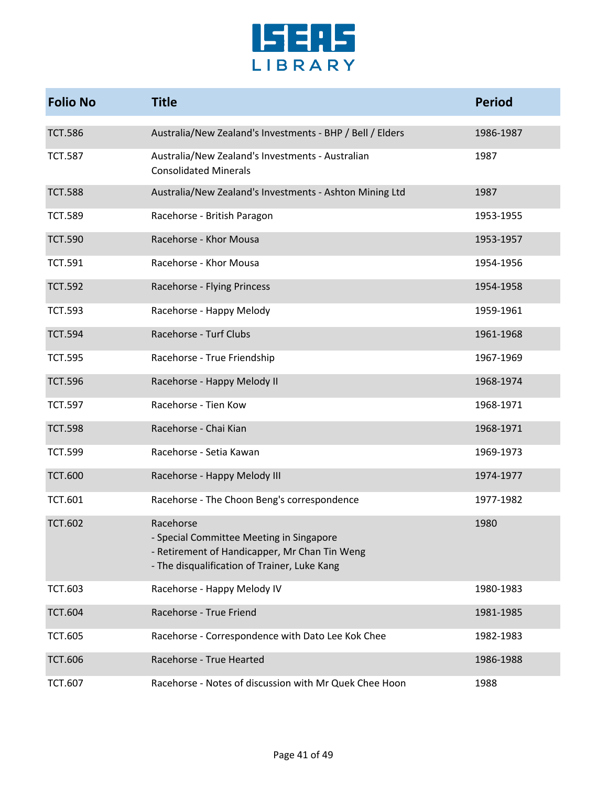

| <b>Folio No</b> | <b>Title</b>                                                                                                                                           | <b>Period</b> |
|-----------------|--------------------------------------------------------------------------------------------------------------------------------------------------------|---------------|
| <b>TCT.586</b>  | Australia/New Zealand's Investments - BHP / Bell / Elders                                                                                              | 1986-1987     |
| <b>TCT.587</b>  | Australia/New Zealand's Investments - Australian<br><b>Consolidated Minerals</b>                                                                       | 1987          |
| <b>TCT.588</b>  | Australia/New Zealand's Investments - Ashton Mining Ltd                                                                                                | 1987          |
| <b>TCT.589</b>  | Racehorse - British Paragon                                                                                                                            | 1953-1955     |
| <b>TCT.590</b>  | Racehorse - Khor Mousa                                                                                                                                 | 1953-1957     |
| <b>TCT.591</b>  | Racehorse - Khor Mousa                                                                                                                                 | 1954-1956     |
| <b>TCT.592</b>  | Racehorse - Flying Princess                                                                                                                            | 1954-1958     |
| <b>TCT.593</b>  | Racehorse - Happy Melody                                                                                                                               | 1959-1961     |
| <b>TCT.594</b>  | Racehorse - Turf Clubs                                                                                                                                 | 1961-1968     |
| <b>TCT.595</b>  | Racehorse - True Friendship                                                                                                                            | 1967-1969     |
| <b>TCT.596</b>  | Racehorse - Happy Melody II                                                                                                                            | 1968-1974     |
| <b>TCT.597</b>  | Racehorse - Tien Kow                                                                                                                                   | 1968-1971     |
| <b>TCT.598</b>  | Racehorse - Chai Kian                                                                                                                                  | 1968-1971     |
| <b>TCT.599</b>  | Racehorse - Setia Kawan                                                                                                                                | 1969-1973     |
| <b>TCT.600</b>  | Racehorse - Happy Melody III                                                                                                                           | 1974-1977     |
| <b>TCT.601</b>  | Racehorse - The Choon Beng's correspondence                                                                                                            | 1977-1982     |
| <b>TCT.602</b>  | Racehorse<br>- Special Committee Meeting in Singapore<br>- Retirement of Handicapper, Mr Chan Tin Weng<br>- The disqualification of Trainer, Luke Kang | 1980          |
| <b>TCT.603</b>  | Racehorse - Happy Melody IV                                                                                                                            | 1980-1983     |
| <b>TCT.604</b>  | Racehorse - True Friend                                                                                                                                | 1981-1985     |
| <b>TCT.605</b>  | Racehorse - Correspondence with Dato Lee Kok Chee                                                                                                      | 1982-1983     |
| <b>TCT.606</b>  | Racehorse - True Hearted                                                                                                                               | 1986-1988     |
| <b>TCT.607</b>  | Racehorse - Notes of discussion with Mr Quek Chee Hoon                                                                                                 | 1988          |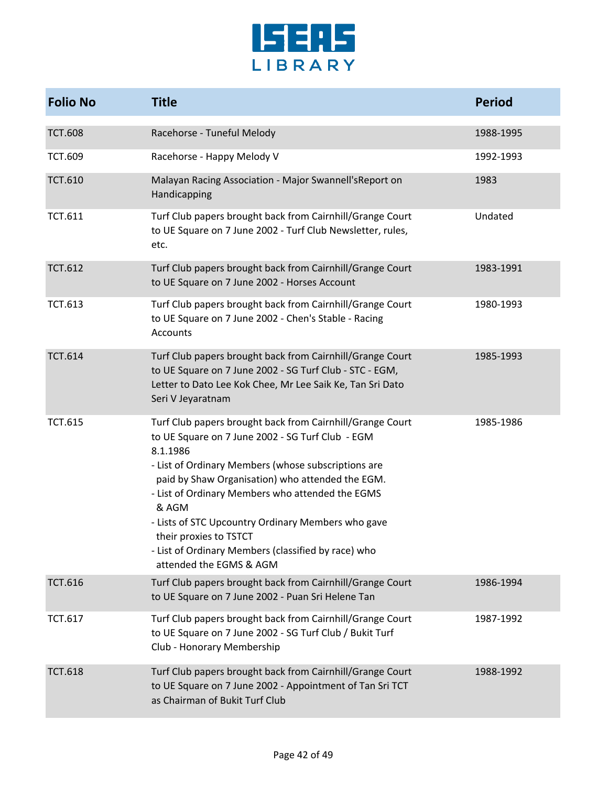

| <b>Folio No</b> | <b>Title</b>                                                                                                                                                                                                                                                                                                                                                                                                                                                        | <b>Period</b> |
|-----------------|---------------------------------------------------------------------------------------------------------------------------------------------------------------------------------------------------------------------------------------------------------------------------------------------------------------------------------------------------------------------------------------------------------------------------------------------------------------------|---------------|
| <b>TCT.608</b>  | Racehorse - Tuneful Melody                                                                                                                                                                                                                                                                                                                                                                                                                                          | 1988-1995     |
| <b>TCT.609</b>  | Racehorse - Happy Melody V                                                                                                                                                                                                                                                                                                                                                                                                                                          | 1992-1993     |
| <b>TCT.610</b>  | Malayan Racing Association - Major Swannell's Report on<br>Handicapping                                                                                                                                                                                                                                                                                                                                                                                             | 1983          |
| <b>TCT.611</b>  | Turf Club papers brought back from Cairnhill/Grange Court<br>to UE Square on 7 June 2002 - Turf Club Newsletter, rules,<br>etc.                                                                                                                                                                                                                                                                                                                                     | Undated       |
| <b>TCT.612</b>  | Turf Club papers brought back from Cairnhill/Grange Court<br>to UE Square on 7 June 2002 - Horses Account                                                                                                                                                                                                                                                                                                                                                           | 1983-1991     |
| <b>TCT.613</b>  | Turf Club papers brought back from Cairnhill/Grange Court<br>to UE Square on 7 June 2002 - Chen's Stable - Racing<br>Accounts                                                                                                                                                                                                                                                                                                                                       | 1980-1993     |
| <b>TCT.614</b>  | Turf Club papers brought back from Cairnhill/Grange Court<br>to UE Square on 7 June 2002 - SG Turf Club - STC - EGM,<br>Letter to Dato Lee Kok Chee, Mr Lee Saik Ke, Tan Sri Dato<br>Seri V Jeyaratnam                                                                                                                                                                                                                                                              | 1985-1993     |
| <b>TCT.615</b>  | Turf Club papers brought back from Cairnhill/Grange Court<br>to UE Square on 7 June 2002 - SG Turf Club - EGM<br>8.1.1986<br>- List of Ordinary Members (whose subscriptions are<br>paid by Shaw Organisation) who attended the EGM.<br>- List of Ordinary Members who attended the EGMS<br>& AGM<br>- Lists of STC Upcountry Ordinary Members who gave<br>their proxies to TSTCT<br>- List of Ordinary Members (classified by race) who<br>attended the EGMS & AGM | 1985-1986     |
| <b>TCT.616</b>  | Turf Club papers brought back from Cairnhill/Grange Court<br>to UE Square on 7 June 2002 - Puan Sri Helene Tan                                                                                                                                                                                                                                                                                                                                                      | 1986-1994     |
| <b>TCT.617</b>  | Turf Club papers brought back from Cairnhill/Grange Court<br>to UE Square on 7 June 2002 - SG Turf Club / Bukit Turf<br>Club - Honorary Membership                                                                                                                                                                                                                                                                                                                  | 1987-1992     |
| <b>TCT.618</b>  | Turf Club papers brought back from Cairnhill/Grange Court<br>to UE Square on 7 June 2002 - Appointment of Tan Sri TCT<br>as Chairman of Bukit Turf Club                                                                                                                                                                                                                                                                                                             | 1988-1992     |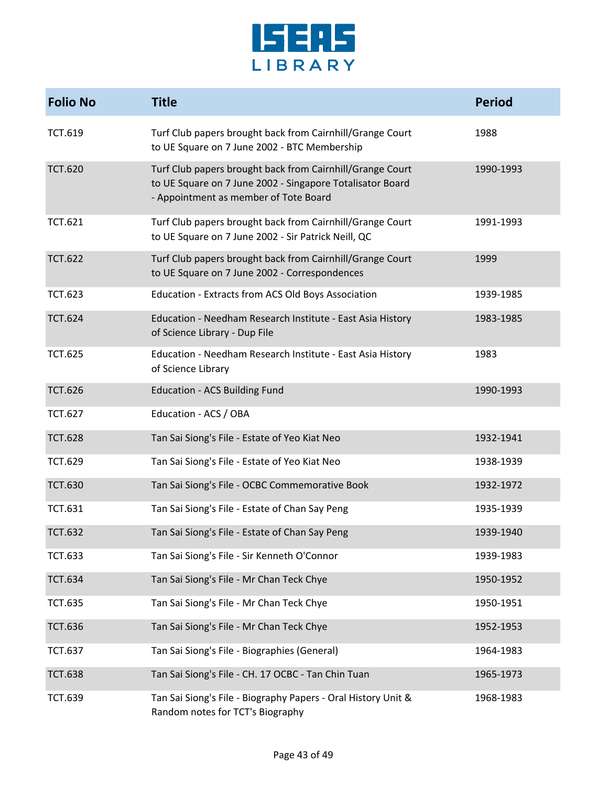

| <b>Folio No</b> | <b>Title</b>                                                                                                                                                    | <b>Period</b> |
|-----------------|-----------------------------------------------------------------------------------------------------------------------------------------------------------------|---------------|
| <b>TCT.619</b>  | Turf Club papers brought back from Cairnhill/Grange Court<br>to UE Square on 7 June 2002 - BTC Membership                                                       | 1988          |
| <b>TCT.620</b>  | Turf Club papers brought back from Cairnhill/Grange Court<br>to UE Square on 7 June 2002 - Singapore Totalisator Board<br>- Appointment as member of Tote Board | 1990-1993     |
| <b>TCT.621</b>  | Turf Club papers brought back from Cairnhill/Grange Court<br>to UE Square on 7 June 2002 - Sir Patrick Neill, QC                                                | 1991-1993     |
| <b>TCT.622</b>  | Turf Club papers brought back from Cairnhill/Grange Court<br>to UE Square on 7 June 2002 - Correspondences                                                      | 1999          |
| <b>TCT.623</b>  | Education - Extracts from ACS Old Boys Association                                                                                                              | 1939-1985     |
| <b>TCT.624</b>  | Education - Needham Research Institute - East Asia History<br>of Science Library - Dup File                                                                     | 1983-1985     |
| <b>TCT.625</b>  | Education - Needham Research Institute - East Asia History<br>of Science Library                                                                                | 1983          |
| <b>TCT.626</b>  | <b>Education - ACS Building Fund</b>                                                                                                                            | 1990-1993     |
| <b>TCT.627</b>  | Education - ACS / OBA                                                                                                                                           |               |
| <b>TCT.628</b>  | Tan Sai Siong's File - Estate of Yeo Kiat Neo                                                                                                                   | 1932-1941     |
| <b>TCT.629</b>  | Tan Sai Siong's File - Estate of Yeo Kiat Neo                                                                                                                   | 1938-1939     |
| <b>TCT.630</b>  | Tan Sai Siong's File - OCBC Commemorative Book                                                                                                                  | 1932-1972     |
| <b>TCT.631</b>  | Tan Sai Siong's File - Estate of Chan Say Peng                                                                                                                  | 1935-1939     |
| <b>TCT.632</b>  | Tan Sai Siong's File - Estate of Chan Say Peng                                                                                                                  | 1939-1940     |
| <b>TCT.633</b>  | Tan Sai Siong's File - Sir Kenneth O'Connor                                                                                                                     | 1939-1983     |
| <b>TCT.634</b>  | Tan Sai Siong's File - Mr Chan Teck Chye                                                                                                                        | 1950-1952     |
| <b>TCT.635</b>  | Tan Sai Siong's File - Mr Chan Teck Chye                                                                                                                        | 1950-1951     |
| <b>TCT.636</b>  | Tan Sai Siong's File - Mr Chan Teck Chye                                                                                                                        | 1952-1953     |
| <b>TCT.637</b>  | Tan Sai Siong's File - Biographies (General)                                                                                                                    | 1964-1983     |
| <b>TCT.638</b>  | Tan Sai Siong's File - CH. 17 OCBC - Tan Chin Tuan                                                                                                              | 1965-1973     |
| <b>TCT.639</b>  | Tan Sai Siong's File - Biography Papers - Oral History Unit &<br>Random notes for TCT's Biography                                                               | 1968-1983     |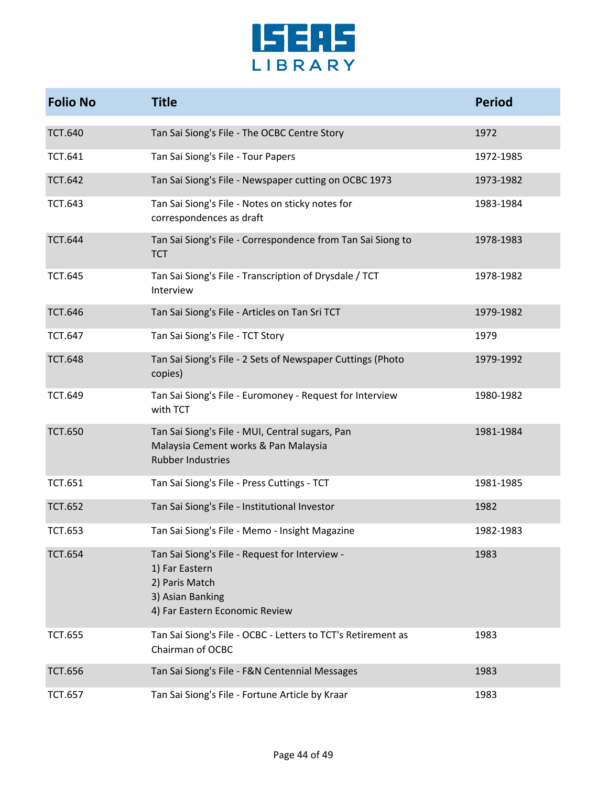

| <b>Folio No</b> | <b>Title</b>                                                                                                                             | <b>Period</b> |
|-----------------|------------------------------------------------------------------------------------------------------------------------------------------|---------------|
| <b>TCT.640</b>  | Tan Sai Siong's File - The OCBC Centre Story                                                                                             | 1972          |
| <b>TCT.641</b>  | Tan Sai Siong's File - Tour Papers                                                                                                       | 1972-1985     |
| <b>TCT.642</b>  | Tan Sai Siong's File - Newspaper cutting on OCBC 1973                                                                                    | 1973-1982     |
| <b>TCT.643</b>  | Tan Sai Siong's File - Notes on sticky notes for<br>correspondences as draft                                                             | 1983-1984     |
| <b>TCT.644</b>  | Tan Sai Siong's File - Correspondence from Tan Sai Siong to<br><b>TCT</b>                                                                | 1978-1983     |
| <b>TCT.645</b>  | Tan Sai Siong's File - Transcription of Drysdale / TCT<br>Interview                                                                      | 1978-1982     |
| <b>TCT.646</b>  | Tan Sai Siong's File - Articles on Tan Sri TCT                                                                                           | 1979-1982     |
| <b>TCT.647</b>  | Tan Sai Siong's File - TCT Story                                                                                                         | 1979          |
| <b>TCT.648</b>  | Tan Sai Siong's File - 2 Sets of Newspaper Cuttings (Photo<br>copies)                                                                    | 1979-1992     |
| <b>TCT.649</b>  | Tan Sai Siong's File - Euromoney - Request for Interview<br>with TCT                                                                     | 1980-1982     |
| <b>TCT.650</b>  | Tan Sai Siong's File - MUI, Central sugars, Pan<br>Malaysia Cement works & Pan Malaysia<br><b>Rubber Industries</b>                      | 1981-1984     |
| <b>TCT.651</b>  | Tan Sai Siong's File - Press Cuttings - TCT                                                                                              | 1981-1985     |
| <b>TCT.652</b>  | Tan Sai Siong's File - Institutional Investor                                                                                            | 1982          |
| <b>TCT.653</b>  | Tan Sai Siong's File - Memo - Insight Magazine                                                                                           | 1982-1983     |
| <b>TCT.654</b>  | Tan Sai Siong's File - Request for Interview -<br>1) Far Eastern<br>2) Paris Match<br>3) Asian Banking<br>4) Far Eastern Economic Review | 1983          |
| <b>TCT.655</b>  | Tan Sai Siong's File - OCBC - Letters to TCT's Retirement as<br>Chairman of OCBC                                                         | 1983          |
| <b>TCT.656</b>  | Tan Sai Siong's File - F&N Centennial Messages                                                                                           | 1983          |
| <b>TCT.657</b>  | Tan Sai Siong's File - Fortune Article by Kraar                                                                                          | 1983          |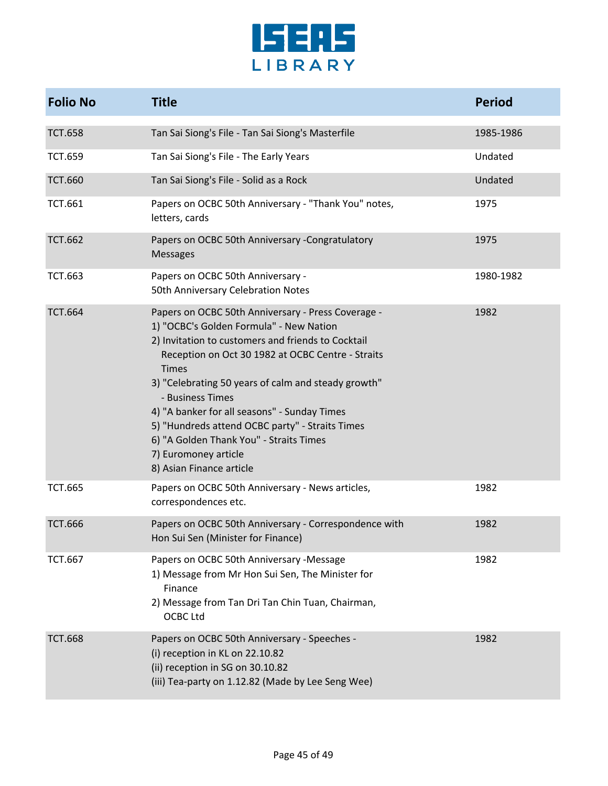

| <b>Folio No</b> | <b>Title</b>                                                                                                                                                                                                                                                                                                                                                                                                                                                                                          | <b>Period</b> |
|-----------------|-------------------------------------------------------------------------------------------------------------------------------------------------------------------------------------------------------------------------------------------------------------------------------------------------------------------------------------------------------------------------------------------------------------------------------------------------------------------------------------------------------|---------------|
| <b>TCT.658</b>  | Tan Sai Siong's File - Tan Sai Siong's Masterfile                                                                                                                                                                                                                                                                                                                                                                                                                                                     | 1985-1986     |
| <b>TCT.659</b>  | Tan Sai Siong's File - The Early Years                                                                                                                                                                                                                                                                                                                                                                                                                                                                | Undated       |
| <b>TCT.660</b>  | Tan Sai Siong's File - Solid as a Rock                                                                                                                                                                                                                                                                                                                                                                                                                                                                | Undated       |
| <b>TCT.661</b>  | Papers on OCBC 50th Anniversary - "Thank You" notes,<br>letters, cards                                                                                                                                                                                                                                                                                                                                                                                                                                | 1975          |
| <b>TCT.662</b>  | Papers on OCBC 50th Anniversary -Congratulatory<br><b>Messages</b>                                                                                                                                                                                                                                                                                                                                                                                                                                    | 1975          |
| <b>TCT.663</b>  | Papers on OCBC 50th Anniversary -<br>50th Anniversary Celebration Notes                                                                                                                                                                                                                                                                                                                                                                                                                               | 1980-1982     |
| <b>TCT.664</b>  | Papers on OCBC 50th Anniversary - Press Coverage -<br>1) "OCBC's Golden Formula" - New Nation<br>2) Invitation to customers and friends to Cocktail<br>Reception on Oct 30 1982 at OCBC Centre - Straits<br><b>Times</b><br>3) "Celebrating 50 years of calm and steady growth"<br>- Business Times<br>4) "A banker for all seasons" - Sunday Times<br>5) "Hundreds attend OCBC party" - Straits Times<br>6) "A Golden Thank You" - Straits Times<br>7) Euromoney article<br>8) Asian Finance article | 1982          |
| <b>TCT.665</b>  | Papers on OCBC 50th Anniversary - News articles,<br>correspondences etc.                                                                                                                                                                                                                                                                                                                                                                                                                              | 1982          |
| <b>TCT.666</b>  | Papers on OCBC 50th Anniversary - Correspondence with<br>Hon Sui Sen (Minister for Finance)                                                                                                                                                                                                                                                                                                                                                                                                           | 1982          |
| <b>TCT.667</b>  | Papers on OCBC 50th Anniversary -Message<br>1) Message from Mr Hon Sui Sen, The Minister for<br>Finance<br>2) Message from Tan Dri Tan Chin Tuan, Chairman,<br><b>OCBC Ltd</b>                                                                                                                                                                                                                                                                                                                        | 1982          |
| <b>TCT.668</b>  | Papers on OCBC 50th Anniversary - Speeches -<br>(i) reception in KL on 22.10.82<br>(ii) reception in SG on 30.10.82<br>(iii) Tea-party on 1.12.82 (Made by Lee Seng Wee)                                                                                                                                                                                                                                                                                                                              | 1982          |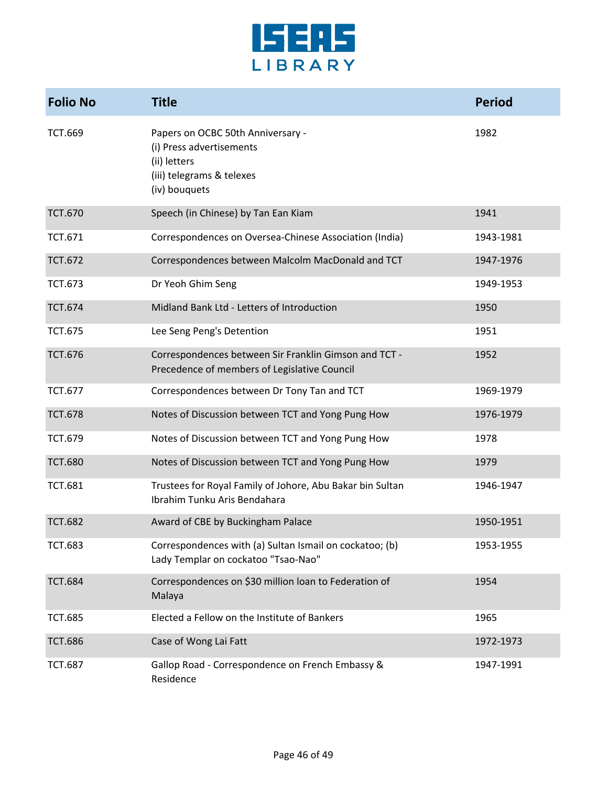

| <b>Folio No</b> | <b>Title</b>                                                                                                                | <b>Period</b> |
|-----------------|-----------------------------------------------------------------------------------------------------------------------------|---------------|
| <b>TCT.669</b>  | Papers on OCBC 50th Anniversary -<br>(i) Press advertisements<br>(ii) letters<br>(iii) telegrams & telexes<br>(iv) bouquets | 1982          |
| <b>TCT.670</b>  | Speech (in Chinese) by Tan Ean Kiam                                                                                         | 1941          |
| <b>TCT.671</b>  | Correspondences on Oversea-Chinese Association (India)                                                                      | 1943-1981     |
| <b>TCT.672</b>  | Correspondences between Malcolm MacDonald and TCT                                                                           | 1947-1976     |
| <b>TCT.673</b>  | Dr Yeoh Ghim Seng                                                                                                           | 1949-1953     |
| <b>TCT.674</b>  | Midland Bank Ltd - Letters of Introduction                                                                                  | 1950          |
| <b>TCT.675</b>  | Lee Seng Peng's Detention                                                                                                   | 1951          |
| <b>TCT.676</b>  | Correspondences between Sir Franklin Gimson and TCT -<br>Precedence of members of Legislative Council                       | 1952          |
| <b>TCT.677</b>  | Correspondences between Dr Tony Tan and TCT                                                                                 | 1969-1979     |
| <b>TCT.678</b>  | Notes of Discussion between TCT and Yong Pung How                                                                           | 1976-1979     |
| <b>TCT.679</b>  | Notes of Discussion between TCT and Yong Pung How                                                                           | 1978          |
| <b>TCT.680</b>  | Notes of Discussion between TCT and Yong Pung How                                                                           | 1979          |
| <b>TCT.681</b>  | Trustees for Royal Family of Johore, Abu Bakar bin Sultan<br>Ibrahim Tunku Aris Bendahara                                   | 1946-1947     |
| <b>TCT.682</b>  | Award of CBE by Buckingham Palace                                                                                           | 1950-1951     |
| <b>TCT.683</b>  | Correspondences with (a) Sultan Ismail on cockatoo; (b)<br>Lady Templar on cockatoo "Tsao-Nao"                              | 1953-1955     |
| <b>TCT.684</b>  | Correspondences on \$30 million loan to Federation of<br>Malaya                                                             | 1954          |
| <b>TCT.685</b>  | Elected a Fellow on the Institute of Bankers                                                                                | 1965          |
| <b>TCT.686</b>  | Case of Wong Lai Fatt                                                                                                       | 1972-1973     |
| <b>TCT.687</b>  | Gallop Road - Correspondence on French Embassy &<br>Residence                                                               | 1947-1991     |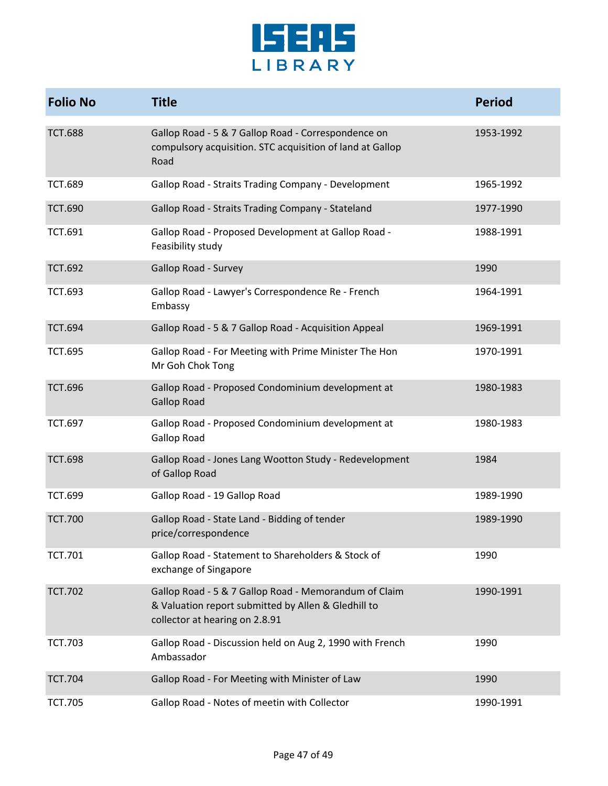

| <b>Folio No</b> | <b>Title</b>                                                                                                                                   | <b>Period</b> |
|-----------------|------------------------------------------------------------------------------------------------------------------------------------------------|---------------|
| <b>TCT.688</b>  | Gallop Road - 5 & 7 Gallop Road - Correspondence on<br>compulsory acquisition. STC acquisition of land at Gallop<br>Road                       | 1953-1992     |
| <b>TCT.689</b>  | Gallop Road - Straits Trading Company - Development                                                                                            | 1965-1992     |
| <b>TCT.690</b>  | Gallop Road - Straits Trading Company - Stateland                                                                                              | 1977-1990     |
| <b>TCT.691</b>  | Gallop Road - Proposed Development at Gallop Road -<br>Feasibility study                                                                       | 1988-1991     |
| <b>TCT.692</b>  | <b>Gallop Road - Survey</b>                                                                                                                    | 1990          |
| <b>TCT.693</b>  | Gallop Road - Lawyer's Correspondence Re - French<br>Embassy                                                                                   | 1964-1991     |
| <b>TCT.694</b>  | Gallop Road - 5 & 7 Gallop Road - Acquisition Appeal                                                                                           | 1969-1991     |
| <b>TCT.695</b>  | Gallop Road - For Meeting with Prime Minister The Hon<br>Mr Goh Chok Tong                                                                      | 1970-1991     |
| <b>TCT.696</b>  | Gallop Road - Proposed Condominium development at<br><b>Gallop Road</b>                                                                        | 1980-1983     |
| <b>TCT.697</b>  | Gallop Road - Proposed Condominium development at<br><b>Gallop Road</b>                                                                        | 1980-1983     |
| <b>TCT.698</b>  | Gallop Road - Jones Lang Wootton Study - Redevelopment<br>of Gallop Road                                                                       | 1984          |
| <b>TCT.699</b>  | Gallop Road - 19 Gallop Road                                                                                                                   | 1989-1990     |
| <b>TCT.700</b>  | Gallop Road - State Land - Bidding of tender<br>price/correspondence                                                                           | 1989-1990     |
| <b>TCT.701</b>  | Gallop Road - Statement to Shareholders & Stock of<br>exchange of Singapore                                                                    | 1990          |
| <b>TCT.702</b>  | Gallop Road - 5 & 7 Gallop Road - Memorandum of Claim<br>& Valuation report submitted by Allen & Gledhill to<br>collector at hearing on 2.8.91 | 1990-1991     |
| <b>TCT.703</b>  | Gallop Road - Discussion held on Aug 2, 1990 with French<br>Ambassador                                                                         | 1990          |
| <b>TCT.704</b>  | Gallop Road - For Meeting with Minister of Law                                                                                                 | 1990          |
| <b>TCT.705</b>  | Gallop Road - Notes of meetin with Collector                                                                                                   | 1990-1991     |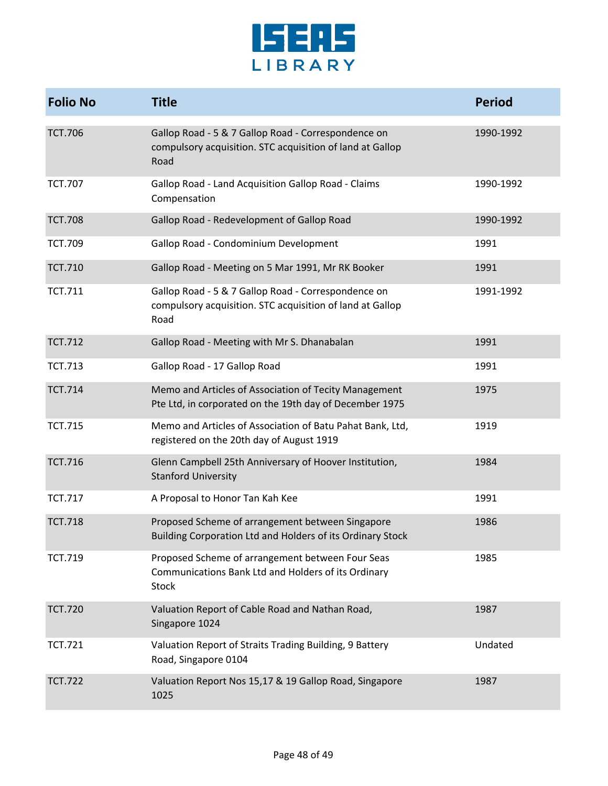

| <b>Folio No</b> | <b>Title</b>                                                                                                             | <b>Period</b> |
|-----------------|--------------------------------------------------------------------------------------------------------------------------|---------------|
| <b>TCT.706</b>  | Gallop Road - 5 & 7 Gallop Road - Correspondence on<br>compulsory acquisition. STC acquisition of land at Gallop<br>Road | 1990-1992     |
| <b>TCT.707</b>  | Gallop Road - Land Acquisition Gallop Road - Claims<br>Compensation                                                      | 1990-1992     |
| <b>TCT.708</b>  | Gallop Road - Redevelopment of Gallop Road                                                                               | 1990-1992     |
| <b>TCT.709</b>  | Gallop Road - Condominium Development                                                                                    | 1991          |
| <b>TCT.710</b>  | Gallop Road - Meeting on 5 Mar 1991, Mr RK Booker                                                                        | 1991          |
| <b>TCT.711</b>  | Gallop Road - 5 & 7 Gallop Road - Correspondence on<br>compulsory acquisition. STC acquisition of land at Gallop<br>Road | 1991-1992     |
| <b>TCT.712</b>  | Gallop Road - Meeting with Mr S. Dhanabalan                                                                              | 1991          |
| <b>TCT.713</b>  | Gallop Road - 17 Gallop Road                                                                                             | 1991          |
| <b>TCT.714</b>  | Memo and Articles of Association of Tecity Management<br>Pte Ltd, in corporated on the 19th day of December 1975         | 1975          |
| <b>TCT.715</b>  | Memo and Articles of Association of Batu Pahat Bank, Ltd,<br>registered on the 20th day of August 1919                   | 1919          |
| <b>TCT.716</b>  | Glenn Campbell 25th Anniversary of Hoover Institution,<br><b>Stanford University</b>                                     | 1984          |
| <b>TCT.717</b>  | A Proposal to Honor Tan Kah Kee                                                                                          | 1991          |
| <b>TCT.718</b>  | Proposed Scheme of arrangement between Singapore<br>Building Corporation Ltd and Holders of its Ordinary Stock           | 1986          |
| <b>TCT.719</b>  | Proposed Scheme of arrangement between Four Seas<br>Communications Bank Ltd and Holders of its Ordinary<br>Stock         | 1985          |
| <b>TCT.720</b>  | Valuation Report of Cable Road and Nathan Road,<br>Singapore 1024                                                        | 1987          |
| <b>TCT.721</b>  | Valuation Report of Straits Trading Building, 9 Battery<br>Road, Singapore 0104                                          | Undated       |
| <b>TCT.722</b>  | Valuation Report Nos 15,17 & 19 Gallop Road, Singapore<br>1025                                                           | 1987          |